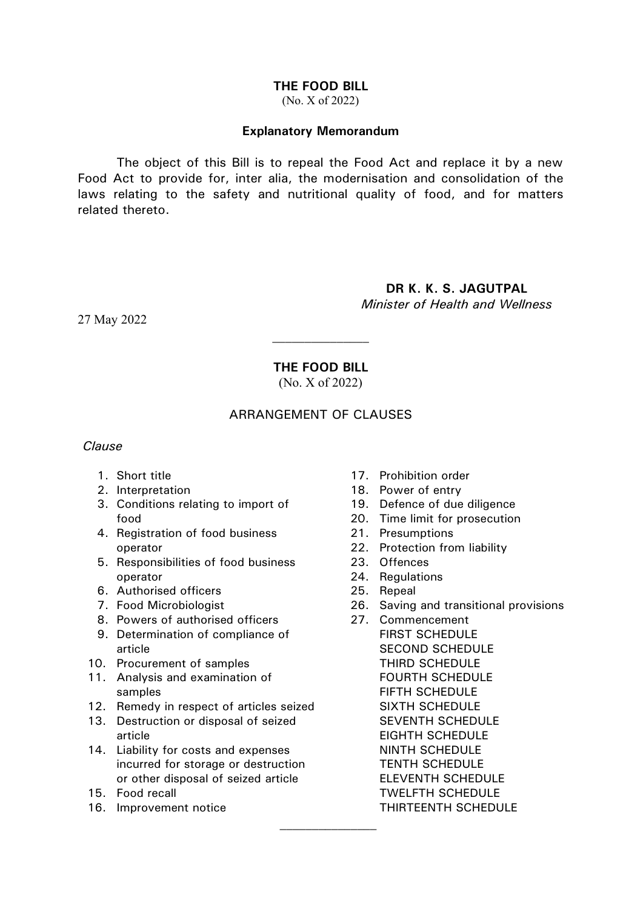#### **THE FOOD BILL**

(No. X of 2022)

#### **Explanatory Memorandum**

The object of this Bill is to repeal the Food Act and replace it by a new Food Act to provide for, inter alia, the modernisation and consolidation of the laws relating to the safety and nutritional quality of food, and for matters related thereto.

#### **DR K. K. S. JAGUTPAL** *Minister of Health and Wellness*

27 May 2022

#### **THE FOOD BILL**

 $\mathcal{L}_\text{max}$ 

(No. X of 2022)

#### ARRANGEMENT OF CLAUSES

*Clause*

- 1. Short title
- 2. Interpretation
- 3. Conditions relating to import of food
- 4. Registration of food business operator
- 5. Responsibilities of food business operator
- 6. Authorised officers
- 7. Food Microbiologist
- 8. Powers of authorised officers
- 9. Determination of compliance of article
- 10. Procurement of samples
- 11. Analysis and examination of samples
- 12. Remedy in respect of articles seized
- 13. Destruction or disposal of seized article
- 14. Liability for costs and expenses incurred for storage or destruction or other disposal of seized article
- 15. Food recall
- 16. Improvement notice
- 17. Prohibition order
- 18. Power of entry
- 19. Defence of due diligence
- 20. Time limit for prosecution
- 21. Presumptions
- 22. Protection from liability
- 23. Offences
- 24. Regulations
- 25. Repeal
- 26. Saving and transitional provisions
- 27. Commencement FIRST SCHEDULE SECOND SCHEDULE THIRD SCHEDULE FOURTH SCHEDULE FIFTH SCHEDULE SIXTH SCHEDULE SEVENTH SCHEDULE EIGHTH SCHEDULE NINTH SCHEDULE TENTH SCHEDULE ELEVENTH SCHEDULE TWELFTH SCHEDULE THIRTEENTH SCHEDULE  $\mathcal{L}_\text{max}$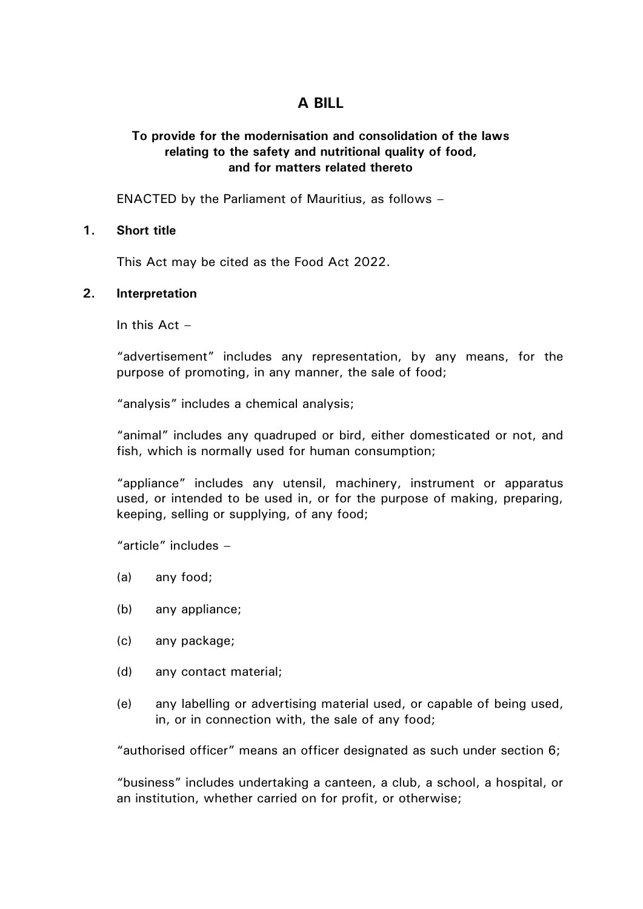## **A BILL**

#### **To provide for the modernisation and consolidation of the laws relating to the safety and nutritional quality of food, and for matters related thereto**

ENACTED by the Parliament of Mauritius, as follows –

#### **1. Short title**

This Act may be cited as the Food Act 2022.

#### **2. Interpretation**

In this  $Act -$ 

"advertisement" includes any representation, by any means, for the purpose of promoting, in any manner, the sale of food;

"analysis" includes a chemical analysis;

"animal" includes any quadruped or bird, either domesticated or not, and fish, which is normally used for human consumption;

"appliance" includes any utensil, machinery, instrument or apparatus used, or intended to be used in, or for the purpose of making, preparing, keeping, selling or supplying, of any food;

"article" includes –

- (a) any food;
- (b) any appliance;
- (c) any package;
- (d) any contact material;
- (e) any labelling or advertising material used, or capable of being used, in, or in connection with, the sale of any food;

"authorised officer" means an officer designated as such under section 6;

"business" includes undertaking a canteen, a club, a school, a hospital, or an institution, whether carried on for profit, or otherwise;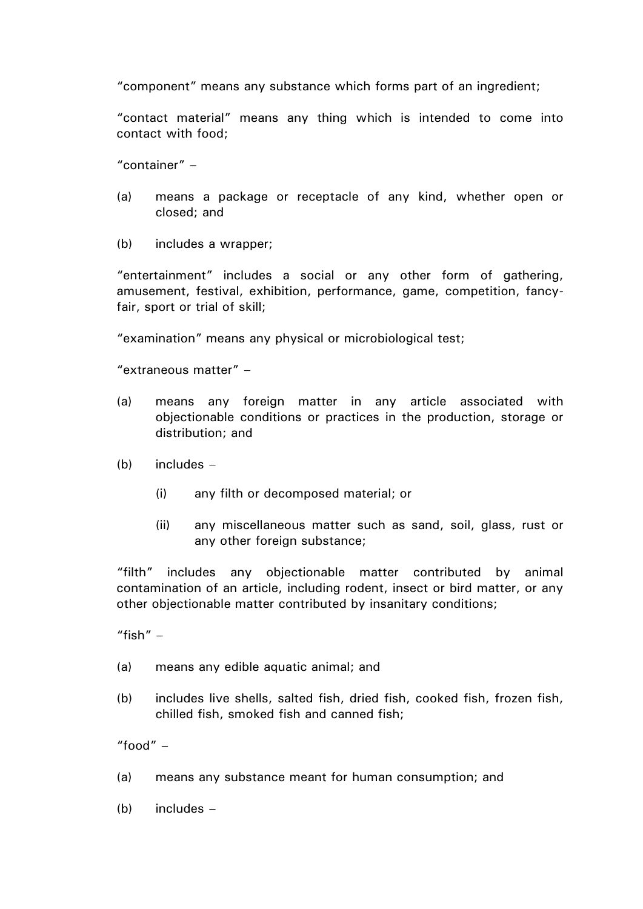"component" means any substance which forms part of an ingredient;

"contact material" means any thing which is intended to come into contact with food;

"container" –

- (a) means a package or receptacle of any kind, whether open or closed; and
- (b) includes a wrapper;

"entertainment" includes a social or any other form of gathering, amusement, festival, exhibition, performance, game, competition, fancyfair, sport or trial of skill;

"examination" means any physical or microbiological test;

"extraneous matter" –

- (a) means any foreign matter in any article associated with objectionable conditions or practices in the production, storage or distribution; and
- (b) includes
	- (i) any filth or decomposed material; or
	- (ii) any miscellaneous matter such as sand, soil, glass, rust or any other foreign substance;

"filth" includes any objectionable matter contributed by animal contamination of an article, including rodent, insect or bird matter, or any other objectionable matter contributed by insanitary conditions;

"fish"  $-$ 

- (a) means any edible aquatic animal; and
- (b) includes live shells, salted fish, dried fish, cooked fish, frozen fish, chilled fish, smoked fish and canned fish;

"food" –

- (a) means any substance meant for human consumption; and
- (b) includes –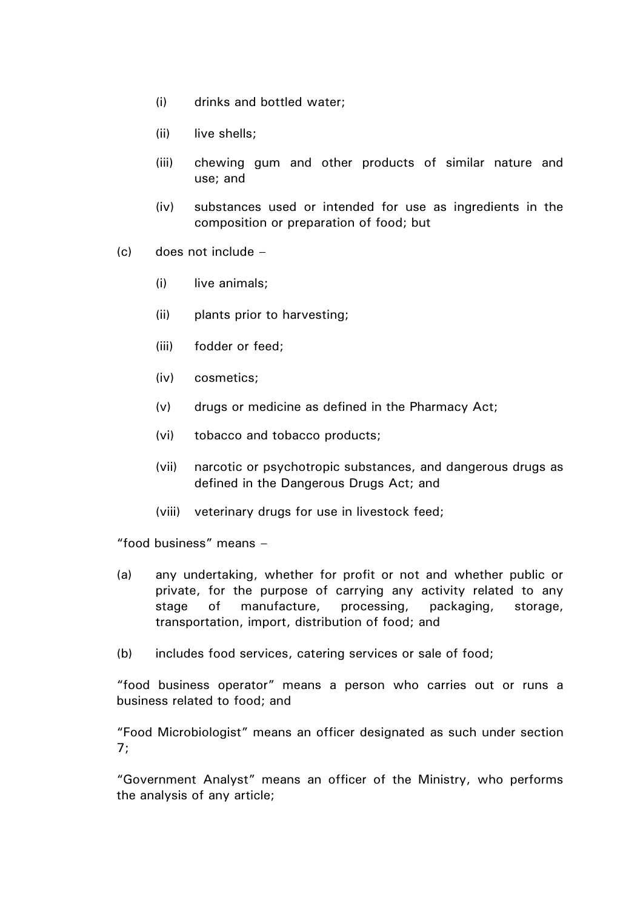- (i) drinks and bottled water;
- (ii) live shells;
- (iii) chewing gum and other products of similar nature and use; and
- (iv) substances used or intended for use as ingredients in the composition or preparation of food; but
- (c) does not include
	- (i) live animals;
	- (ii) plants prior to harvesting;
	- (iii) fodder or feed;
	- (iv) cosmetics;
	- (v) drugs or medicine as defined in the Pharmacy Act;
	- (vi) tobacco and tobacco products;
	- (vii) narcotic or psychotropic substances, and dangerous drugs as defined in the Dangerous Drugs Act; and
	- (viii) veterinary drugs for use in livestock feed;

"food business" means –

- (a) any undertaking, whether for profit or not and whether public or private, for the purpose of carrying any activity related to any stage of manufacture, processing, packaging, storage, transportation, import, distribution of food; and
- (b) includes food services, catering services or sale of food;

"food business operator" means a person who carries out or runs a business related to food; and

"Food Microbiologist" means an officer designated as such under section 7;

"Government Analyst" means an officer of the Ministry, who performs the analysis of any article;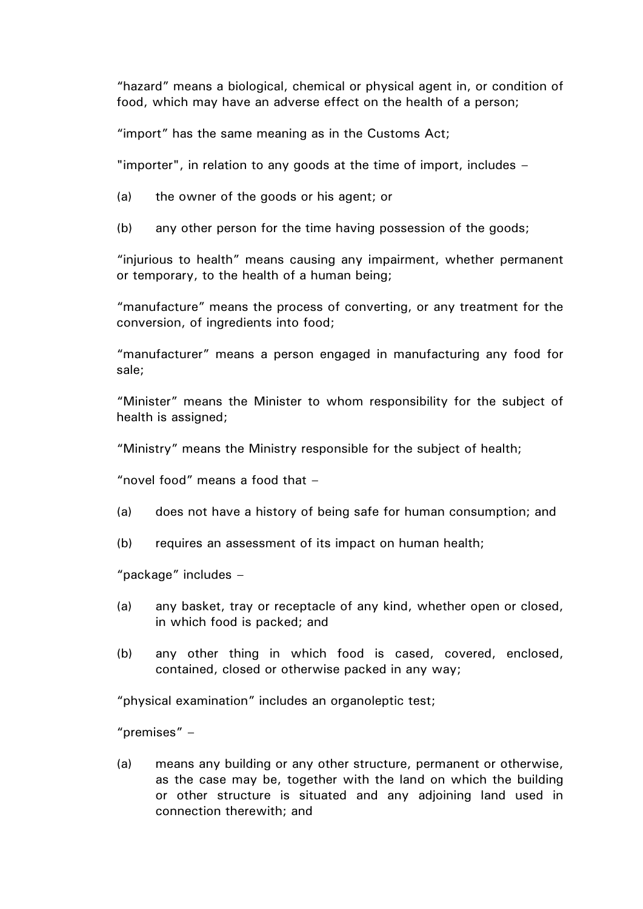"hazard" means a biological, chemical or physical agent in, or condition of food, which may have an adverse effect on the health of a person;

"import" has the same meaning as in the Customs Act;

"importer", in relation to any goods at the time of import, includes –

(a) the owner of the goods or his agent; or

(b) any other person for the time having possession of the goods;

"injurious to health" means causing any impairment, whether permanent or temporary, to the health of a human being;

"manufacture" means the process of converting, or any treatment for the conversion, of ingredients into food;

"manufacturer" means a person engaged in manufacturing any food for sale;

"Minister" means the Minister to whom responsibility for the subject of health is assigned;

"Ministry" means the Ministry responsible for the subject of health;

"novel food" means a food that –

- (a) does not have a history of being safe for human consumption; and
- (b) requires an assessment of its impact on human health;

"package" includes –

- (a) any basket, tray or receptacle of any kind, whether open or closed, in which food is packed; and
- (b) any other thing in which food is cased, covered, enclosed, contained, closed or otherwise packed in any way;

"physical examination" includes an organoleptic test;

"premises" –

(a) means any building or any other structure, permanent or otherwise, as the case may be, together with the land on which the building or other structure is situated and any adjoining land used in connection therewith; and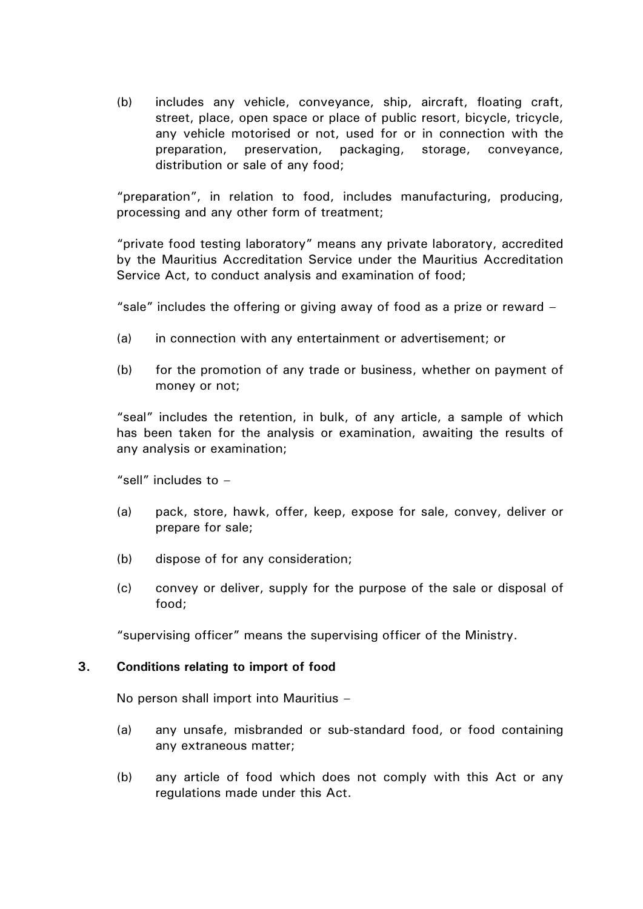(b) includes any vehicle, conveyance, ship, aircraft, floating craft, street, place, open space or place of public resort, bicycle, tricycle, any vehicle motorised or not, used for or in connection with the preparation, preservation, packaging, storage, conveyance, distribution or sale of any food;

"preparation", in relation to food, includes manufacturing, producing, processing and any other form of treatment;

"private food testing laboratory" means any private laboratory, accredited by the Mauritius Accreditation Service under the Mauritius Accreditation Service Act, to conduct analysis and examination of food;

"sale" includes the offering or giving away of food as a prize or reward –

- (a) in connection with any entertainment or advertisement; or
- (b) for the promotion of any trade or business, whether on payment of money or not;

"seal" includes the retention, in bulk, of any article, a sample of which has been taken for the analysis or examination, awaiting the results of any analysis or examination;

"sell" includes to –

- (a) pack, store, hawk, offer, keep, expose for sale, convey, deliver or prepare for sale;
- (b) dispose of for any consideration;
- (c) convey or deliver, supply for the purpose of the sale or disposal of food;

"supervising officer" means the supervising officer of the Ministry.

#### **3. Conditions relating to import of food**

No person shall import into Mauritius –

- (a) any unsafe, misbranded or sub-standard food, or food containing any extraneous matter;
- (b) any article of food which does not comply with this Act or any regulations made under this Act.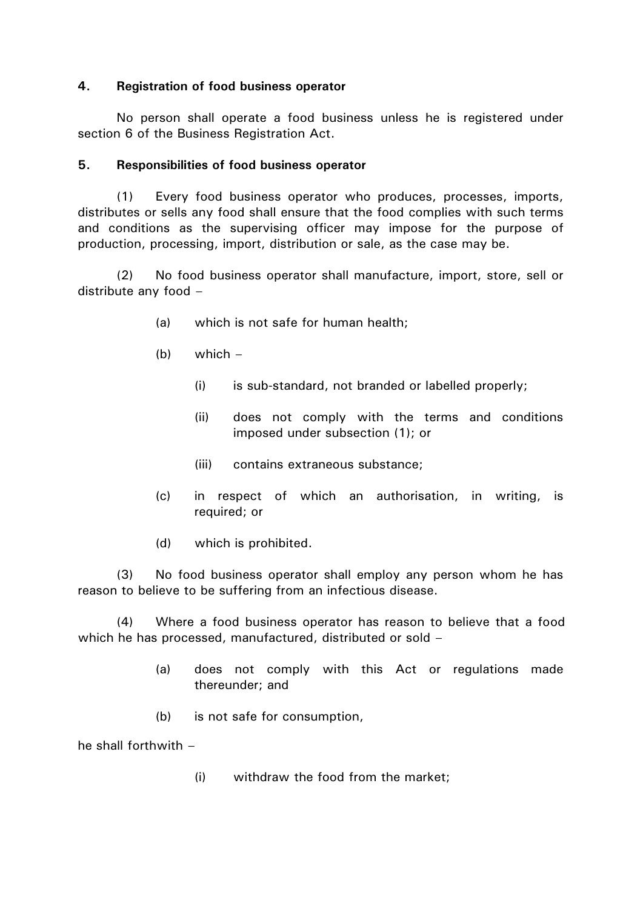#### **4. Registration of food business operator**

No person shall operate a food business unless he is registered under section 6 of the Business Registration Act.

#### **5. Responsibilities of food business operator**

(1) Every food business operator who produces, processes, imports, distributes or sells any food shall ensure that the food complies with such terms and conditions as the supervising officer may impose for the purpose of production, processing, import, distribution or sale, as the case may be.

(2) No food business operator shall manufacture, import, store, sell or distribute any food –

- (a) which is not safe for human health;
- (b) which
	- (i) is sub-standard, not branded or labelled properly;
	- (ii) does not comply with the terms and conditions imposed under subsection (1); or
	- (iii) contains extraneous substance;
- (c) in respect of which an authorisation, in writing, is required; or
- (d) which is prohibited.

(3) No food business operator shall employ any person whom he has reason to believe to be suffering from an infectious disease.

(4) Where a food business operator has reason to believe that a food which he has processed, manufactured, distributed or sold -

- (a) does not comply with this Act or regulations made thereunder; and
- (b) is not safe for consumption,

he shall forthwith –

(i) withdraw the food from the market;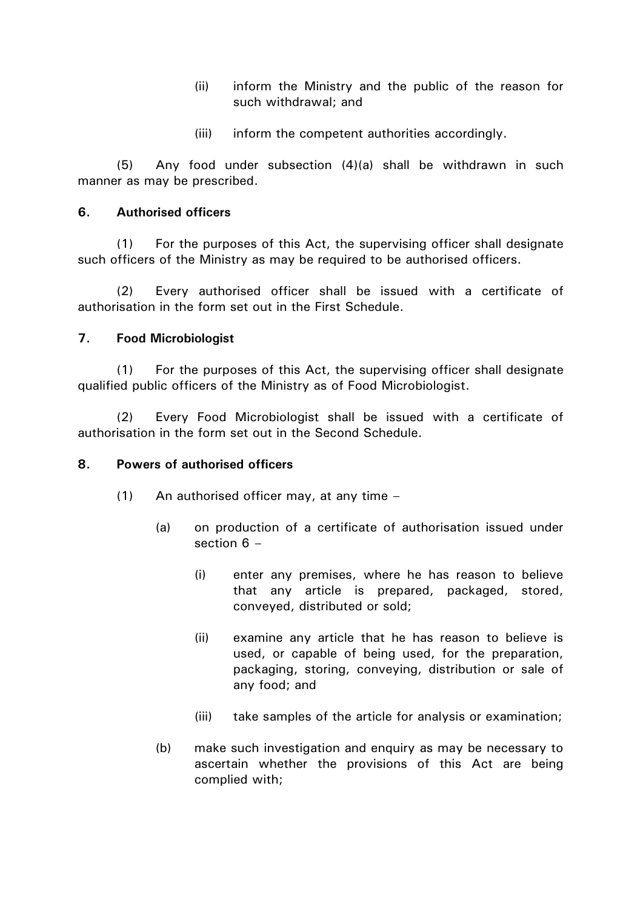- (ii) inform the Ministry and the public of the reason for such withdrawal; and
- (iii) inform the competent authorities accordingly.

(5) Any food under subsection (4)(a) shall be withdrawn in such manner as may be prescribed.

#### **6. Authorised officers**

(1) For the purposes of this Act, the supervising officer shall designate such officers of the Ministry as may be required to be authorised officers.

(2) Every authorised officer shall be issued with a certificate of authorisation in the form set out in the First Schedule.

#### **7. Food Microbiologist**

(1) For the purposes of this Act, the supervising officer shall designate qualified public officers of the Ministry as of Food Microbiologist.

(2) Every Food Microbiologist shall be issued with a certificate of authorisation in the form set out in the Second Schedule.

#### **8. Powers of authorised officers**

- (1) An authorised officer may, at any time
	- (a) on production of a certificate of authorisation issued under section 6 –
		- (i) enter any premises, where he has reason to believe that any article is prepared, packaged, stored, conveyed, distributed or sold;
		- (ii) examine any article that he has reason to believe is used, or capable of being used, for the preparation, packaging, storing, conveying, distribution or sale of any food; and
		- (iii) take samples of the article for analysis or examination;
	- (b) make such investigation and enquiry as may be necessary to ascertain whether the provisions of this Act are being complied with;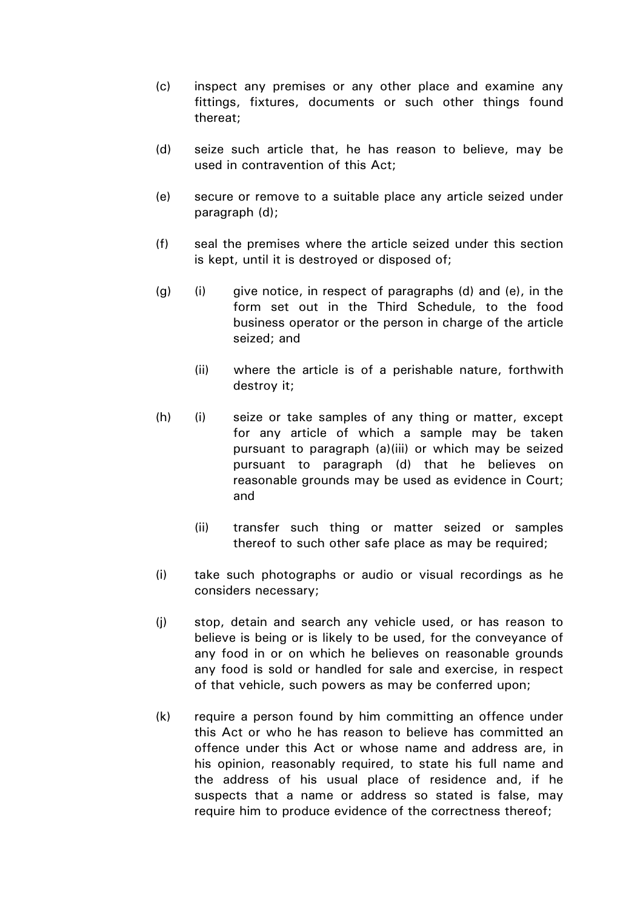- (c) inspect any premises or any other place and examine any fittings, fixtures, documents or such other things found thereat;
- (d) seize such article that, he has reason to believe, may be used in contravention of this Act;
- (e) secure or remove to a suitable place any article seized under paragraph (d);
- (f) seal the premises where the article seized under this section is kept, until it is destroyed or disposed of;
- $(q)$  (i) give notice, in respect of paragraphs  $(d)$  and  $(e)$ , in the form set out in the Third Schedule, to the food business operator or the person in charge of the article seized; and
	- (ii) where the article is of a perishable nature, forthwith destroy it;
- (h) (i) seize or take samples of any thing or matter, except for any article of which a sample may be taken pursuant to paragraph (a)(iii) or which may be seized pursuant to paragraph (d) that he believes on reasonable grounds may be used as evidence in Court; and
	- (ii) transfer such thing or matter seized or samples thereof to such other safe place as may be required;
- (i) take such photographs or audio or visual recordings as he considers necessary;
- (j) stop, detain and search any vehicle used, or has reason to believe is being or is likely to be used, for the conveyance of any food in or on which he believes on reasonable grounds any food is sold or handled for sale and exercise, in respect of that vehicle, such powers as may be conferred upon;
- (k) require a person found by him committing an offence under this Act or who he has reason to believe has committed an offence under this Act or whose name and address are, in his opinion, reasonably required, to state his full name and the address of his usual place of residence and, if he suspects that a name or address so stated is false, may require him to produce evidence of the correctness thereof;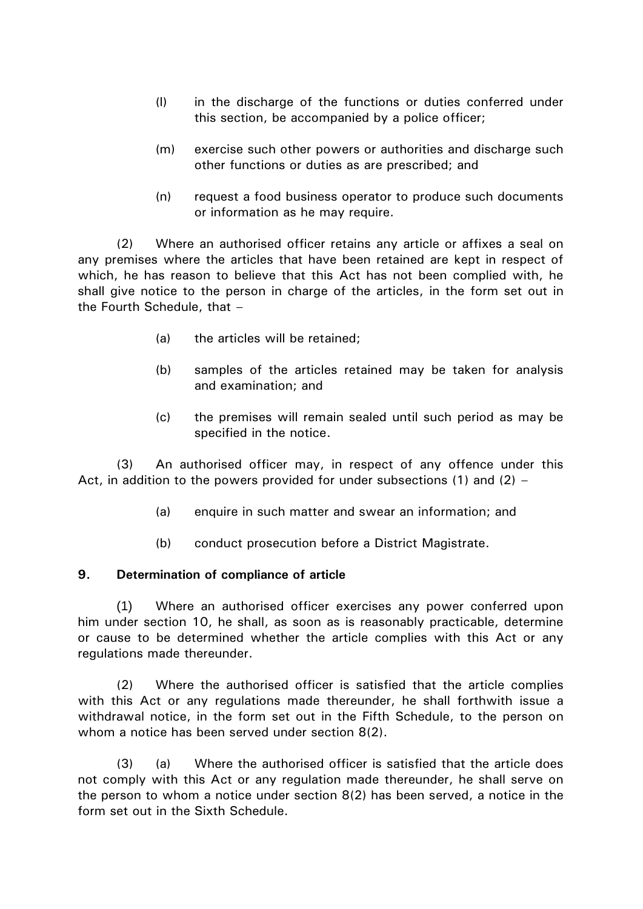- (l) in the discharge of the functions or duties conferred under this section, be accompanied by a police officer;
- (m) exercise such other powers or authorities and discharge such other functions or duties as are prescribed; and
- (n) request a food business operator to produce such documents or information as he may require.

(2) Where an authorised officer retains any article or affixes a seal on any premises where the articles that have been retained are kept in respect of which, he has reason to believe that this Act has not been complied with, he shall give notice to the person in charge of the articles, in the form set out in the Fourth Schedule, that –

- (a) the articles will be retained;
- (b) samples of the articles retained may be taken for analysis and examination; and
- (c) the premises will remain sealed until such period as may be specified in the notice.

(3) An authorised officer may, in respect of any offence under this Act, in addition to the powers provided for under subsections (1) and (2) –

- (a) enquire in such matter and swear an information; and
- (b) conduct prosecution before a District Magistrate.

#### **9. Determination of compliance of article**

(1) Where an authorised officer exercises any power conferred upon him under section 10, he shall, as soon as is reasonably practicable, determine or cause to be determined whether the article complies with this Act or any regulations made thereunder.

(2) Where the authorised officer is satisfied that the article complies with this Act or any regulations made thereunder, he shall forthwith issue a withdrawal notice, in the form set out in the Fifth Schedule, to the person on whom a notice has been served under section 8(2).

(3) (a) Where the authorised officer is satisfied that the article does not comply with this Act or any regulation made thereunder, he shall serve on the person to whom a notice under section 8(2) has been served, a notice in the form set out in the Sixth Schedule.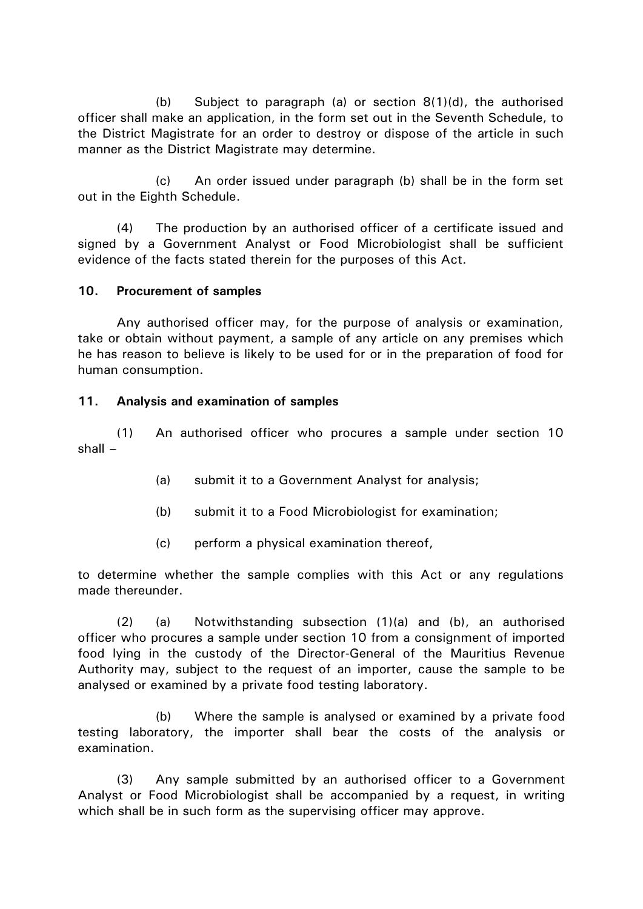(b) Subject to paragraph (a) or section 8(1)(d), the authorised officer shall make an application, in the form set out in the Seventh Schedule, to the District Magistrate for an order to destroy or dispose of the article in such manner as the District Magistrate may determine.

(c) An order issued under paragraph (b) shall be in the form set out in the Eighth Schedule.

(4) The production by an authorised officer of a certificate issued and signed by a Government Analyst or Food Microbiologist shall be sufficient evidence of the facts stated therein for the purposes of this Act.

#### **10. Procurement of samples**

Any authorised officer may, for the purpose of analysis or examination, take or obtain without payment, a sample of any article on any premises which he has reason to believe is likely to be used for or in the preparation of food for human consumption.

#### **11. Analysis and examination of samples**

(1) An authorised officer who procures a sample under section 10 shall –

- (a) submit it to a Government Analyst for analysis;
- (b) submit it to a Food Microbiologist for examination;
- (c) perform a physical examination thereof,

to determine whether the sample complies with this Act or any regulations made thereunder.

(2) (a) Notwithstanding subsection (1)(a) and (b), an authorised officer who procures a sample under section 10 from a consignment of imported food lying in the custody of the Director-General of the Mauritius Revenue Authority may, subject to the request of an importer, cause the sample to be analysed or examined by a private food testing laboratory.

(b) Where the sample is analysed or examined by a private food testing laboratory, the importer shall bear the costs of the analysis or examination.

(3) Any sample submitted by an authorised officer to a Government Analyst or Food Microbiologist shall be accompanied by a request, in writing which shall be in such form as the supervising officer may approve.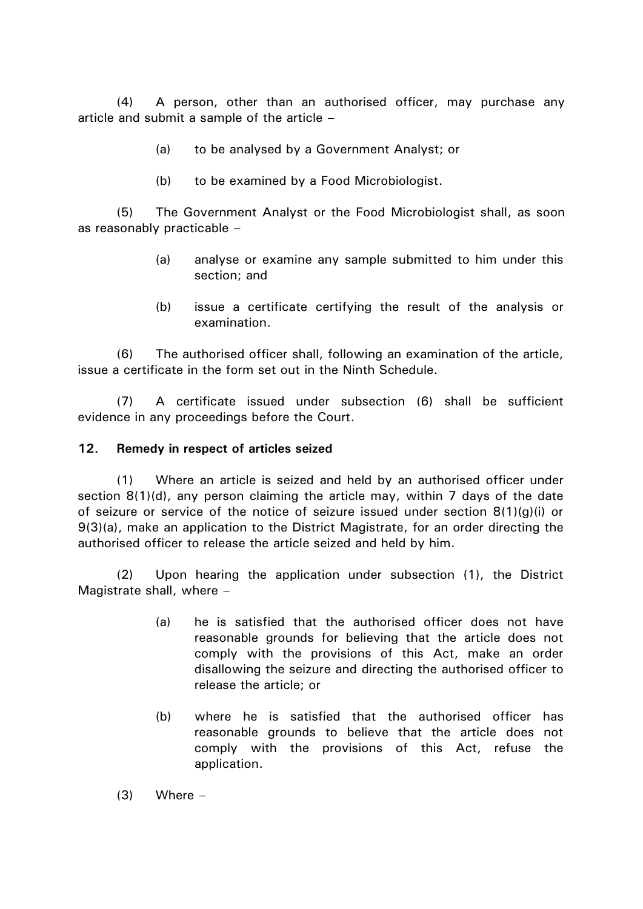(4) A person, other than an authorised officer, may purchase any article and submit a sample of the article –

- (a) to be analysed by a Government Analyst; or
- (b) to be examined by a Food Microbiologist.

(5) The Government Analyst or the Food Microbiologist shall, as soon as reasonably practicable –

- (a) analyse or examine any sample submitted to him under this section; and
- (b) issue a certificate certifying the result of the analysis or examination.

(6) The authorised officer shall, following an examination of the article, issue a certificate in the form set out in the Ninth Schedule.

(7) A certificate issued under subsection (6) shall be sufficient evidence in any proceedings before the Court.

#### **12. Remedy in respect of articles seized**

(1) Where an article is seized and held by an authorised officer under section 8(1)(d), any person claiming the article may, within 7 days of the date of seizure or service of the notice of seizure issued under section  $8(1)(g)(i)$  or 9(3)(a), make an application to the District Magistrate, for an order directing the authorised officer to release the article seized and held by him.

(2) Upon hearing the application under subsection (1), the District Magistrate shall, where –

- (a) he is satisfied that the authorised officer does not have reasonable grounds for believing that the article does not comply with the provisions of this Act, make an order disallowing the seizure and directing the authorised officer to release the article; or
- (b) where he is satisfied that the authorised officer has reasonable grounds to believe that the article does not comply with the provisions of this Act, refuse the application.
- $(3)$  Where –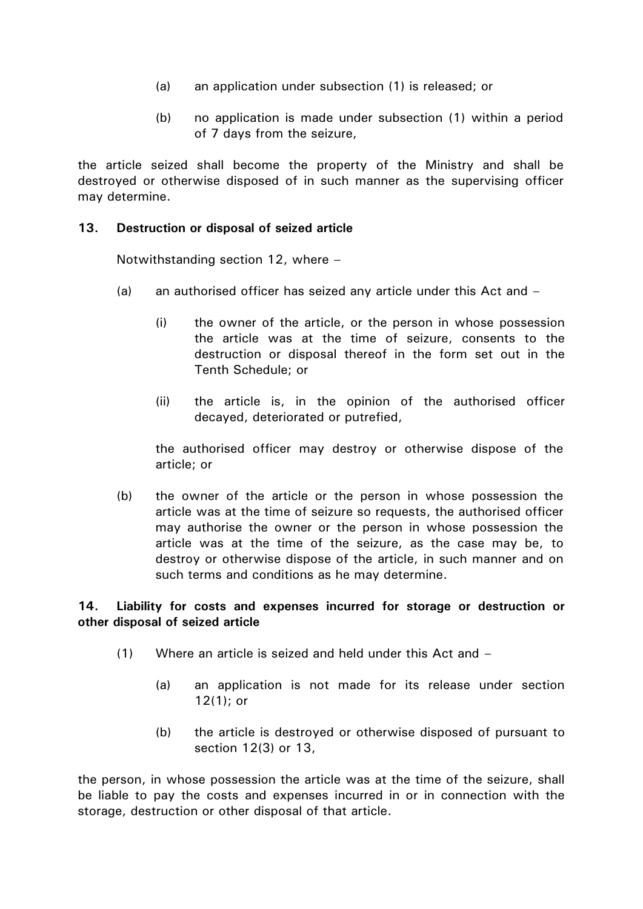- (a) an application under subsection (1) is released; or
- (b) no application is made under subsection (1) within a period of 7 days from the seizure,

the article seized shall become the property of the Ministry and shall be destroyed or otherwise disposed of in such manner as the supervising officer may determine.

#### **13. Destruction or disposal of seized article**

Notwithstanding section 12, where –

- (a) an authorised officer has seized any article under this Act and  $-$ 
	- (i) the owner of the article, or the person in whose possession the article was at the time of seizure, consents to the destruction or disposal thereof in the form set out in the Tenth Schedule; or
	- (ii) the article is, in the opinion of the authorised officer decayed, deteriorated or putrefied,

the authorised officer may destroy or otherwise dispose of the article; or

(b) the owner of the article or the person in whose possession the article was at the time of seizure so requests, the authorised officer may authorise the owner or the person in whose possession the article was at the time of the seizure, as the case may be, to destroy or otherwise dispose of the article, in such manner and on such terms and conditions as he may determine.

#### **14. Liability for costs and expenses incurred for storage or destruction or other disposal of seized article**

- (1) Where an article is seized and held under this Act and
	- (a) an application is not made for its release under section 12(1); or
	- (b) the article is destroyed or otherwise disposed of pursuant to section 12(3) or 13,

the person, in whose possession the article was at the time of the seizure, shall be liable to pay the costs and expenses incurred in or in connection with the storage, destruction or other disposal of that article.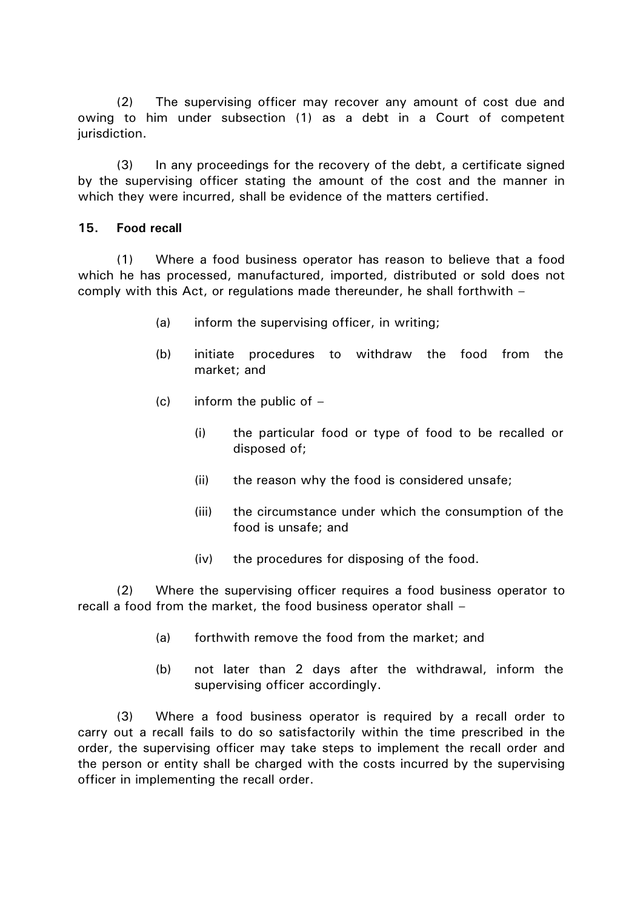(2) The supervising officer may recover any amount of cost due and owing to him under subsection (1) as a debt in a Court of competent jurisdiction.

(3) In any proceedings for the recovery of the debt, a certificate signed by the supervising officer stating the amount of the cost and the manner in which they were incurred, shall be evidence of the matters certified.

#### **15. Food recall**

(1) Where a food business operator has reason to believe that a food which he has processed, manufactured, imported, distributed or sold does not comply with this Act, or regulations made thereunder, he shall forthwith –

- (a) inform the supervising officer, in writing;
- (b) initiate procedures to withdraw the food from the market; and
- $(c)$  inform the public of  $-$ 
	- (i) the particular food or type of food to be recalled or disposed of;
	- (ii) the reason why the food is considered unsafe;
	- (iii) the circumstance under which the consumption of the food is unsafe; and
	- (iv) the procedures for disposing of the food.

(2) Where the supervising officer requires a food business operator to recall a food from the market, the food business operator shall –

- (a) forthwith remove the food from the market; and
- (b) not later than 2 days after the withdrawal, inform the supervising officer accordingly.

(3) Where a food business operator is required by a recall order to carry out a recall fails to do so satisfactorily within the time prescribed in the order, the supervising officer may take steps to implement the recall order and the person or entity shall be charged with the costs incurred by the supervising officer in implementing the recall order.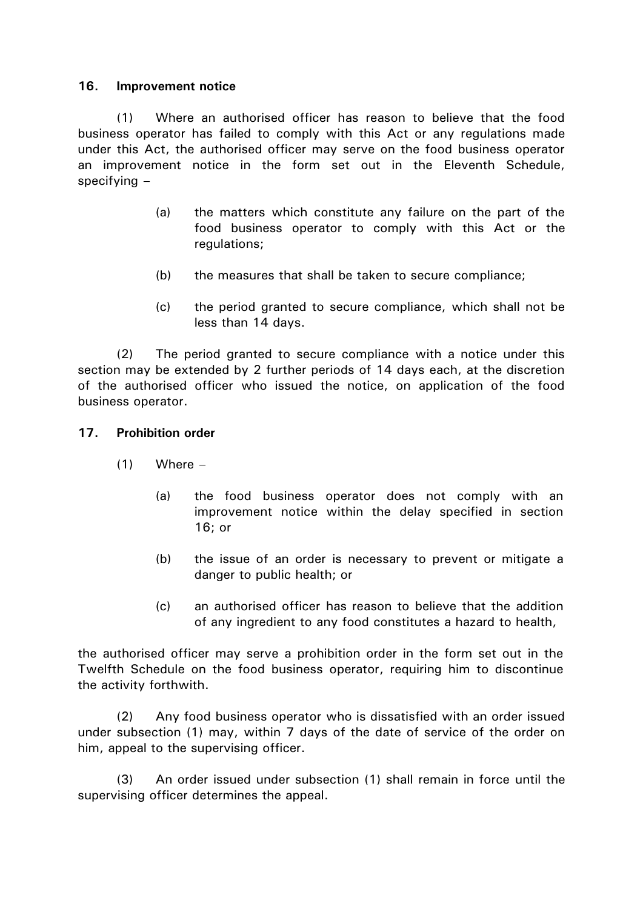#### **16. Improvement notice**

(1) Where an authorised officer has reason to believe that the food business operator has failed to comply with this Act or any regulations made under this Act, the authorised officer may serve on the food business operator an improvement notice in the form set out in the Eleventh Schedule, specifying –

- (a) the matters which constitute any failure on the part of the food business operator to comply with this Act or the regulations;
- (b) the measures that shall be taken to secure compliance;
- (c) the period granted to secure compliance, which shall not be less than 14 days.

(2) The period granted to secure compliance with a notice under this section may be extended by 2 further periods of 14 days each, at the discretion of the authorised officer who issued the notice, on application of the food business operator.

#### **17. Prohibition order**

- $(1)$  Where
	- (a) the food business operator does not comply with an improvement notice within the delay specified in section 16; or
	- (b) the issue of an order is necessary to prevent or mitigate a danger to public health; or
	- (c) an authorised officer has reason to believe that the addition of any ingredient to any food constitutes a hazard to health,

the authorised officer may serve a prohibition order in the form set out in the Twelfth Schedule on the food business operator, requiring him to discontinue the activity forthwith.

(2) Any food business operator who is dissatisfied with an order issued under subsection (1) may, within 7 days of the date of service of the order on him, appeal to the supervising officer.

(3) An order issued under subsection (1) shall remain in force until the supervising officer determines the appeal.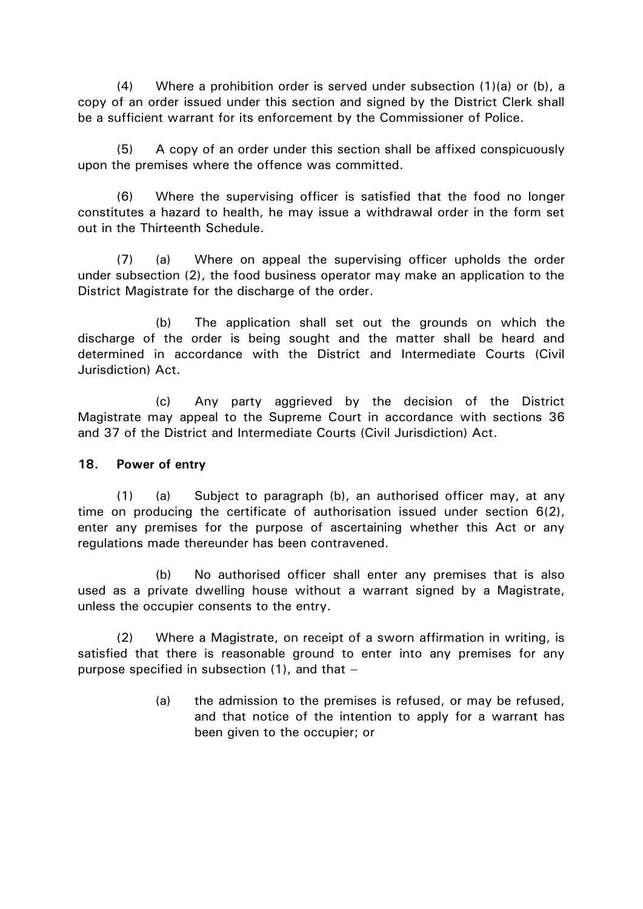(4) Where a prohibition order is served under subsection (1)(a) or (b), a copy of an order issued under this section and signed by the District Clerk shall be a sufficient warrant for its enforcement by the Commissioner of Police.

(5) A copy of an order under this section shall be affixed conspicuously upon the premises where the offence was committed.

(6) Where the supervising officer is satisfied that the food no longer constitutes a hazard to health, he may issue a withdrawal order in the form set out in the Thirteenth Schedule.

(7) (a) Where on appeal the supervising officer upholds the order under subsection (2), the food business operator may make an application to the District Magistrate for the discharge of the order.

(b) The application shall set out the grounds on which the discharge of the order is being sought and the matter shall be heard and determined in accordance with the District and Intermediate Courts (Civil Jurisdiction) Act.

(c) Any party aggrieved by the decision of the District Magistrate may appeal to the Supreme Court in accordance with sections 36 and 37 of the District and Intermediate Courts (Civil Jurisdiction) Act.

#### **18. Power of entry**

(1) (a) Subject to paragraph (b), an authorised officer may, at any time on producing the certificate of authorisation issued under section 6(2), enter any premises for the purpose of ascertaining whether this Act or any regulations made thereunder has been contravened.

(b) No authorised officer shall enter any premises that is also used as a private dwelling house without a warrant signed by a Magistrate, unless the occupier consents to the entry.

(2) Where a Magistrate, on receipt of a sworn affirmation in writing, is satisfied that there is reasonable ground to enter into any premises for any purpose specified in subsection (1), and that –

> (a) the admission to the premises is refused, or may be refused, and that notice of the intention to apply for a warrant has been given to the occupier; or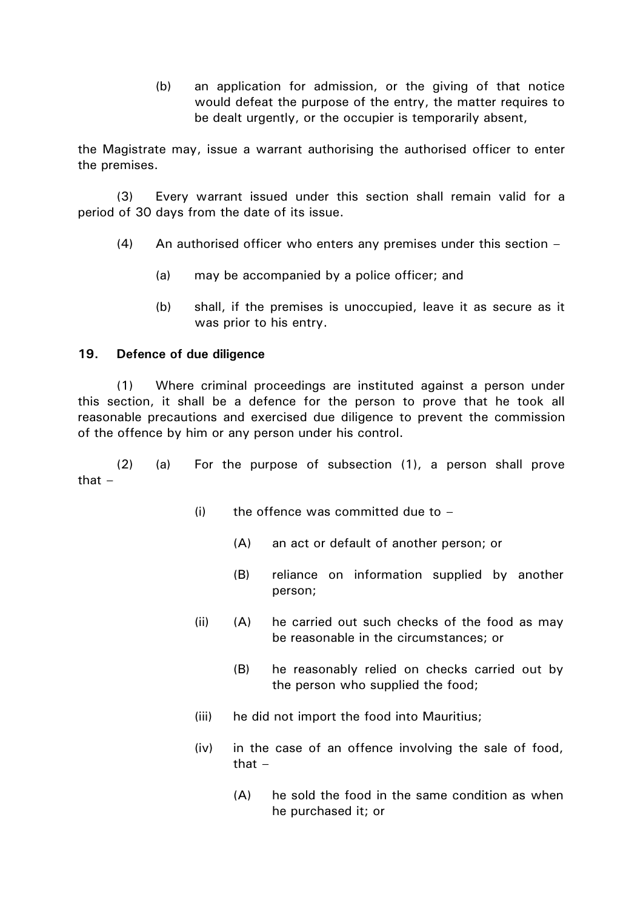(b) an application for admission, or the giving of that notice would defeat the purpose of the entry, the matter requires to be dealt urgently, or the occupier is temporarily absent,

the Magistrate may, issue a warrant authorising the authorised officer to enter the premises.

(3) Every warrant issued under this section shall remain valid for a period of 30 days from the date of its issue.

- (4) An authorised officer who enters any premises under this section
	- (a) may be accompanied by a police officer; and
	- (b) shall, if the premises is unoccupied, leave it as secure as it was prior to his entry.

#### **19. Defence of due diligence**

(1) Where criminal proceedings are instituted against a person under this section, it shall be a defence for the person to prove that he took all reasonable precautions and exercised due diligence to prevent the commission of the offence by him or any person under his control.

(2) (a) For the purpose of subsection (1), a person shall prove that –

- (i) the offence was committed due to  $-$ 
	- (A) an act or default of another person; or
	- (B) reliance on information supplied by another person;
- (ii) (A) he carried out such checks of the food as may be reasonable in the circumstances; or
	- (B) he reasonably relied on checks carried out by the person who supplied the food;
- (iii) he did not import the food into Mauritius;
- (iv) in the case of an offence involving the sale of food, that –
	- (A) he sold the food in the same condition as when he purchased it; or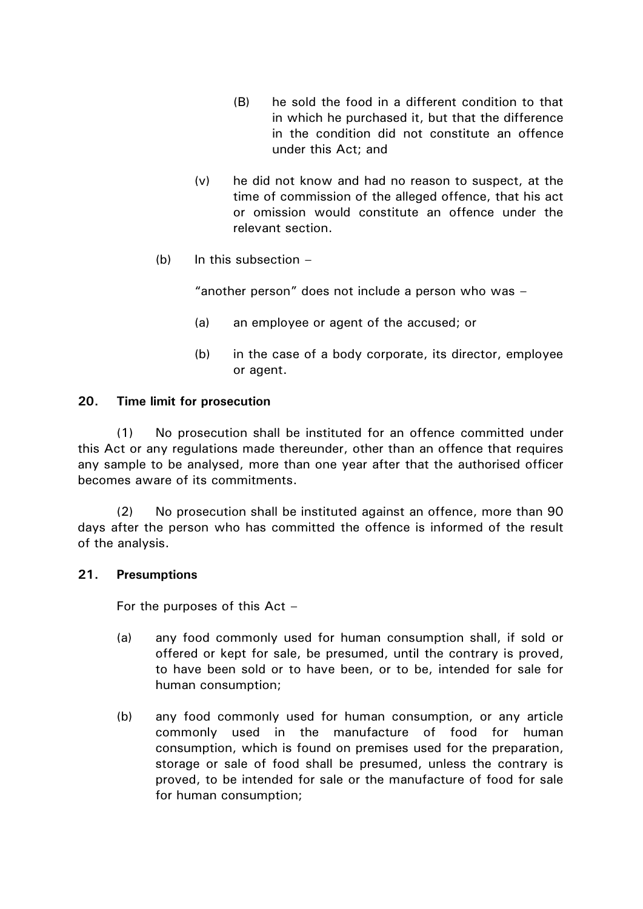- (B) he sold the food in a different condition to that in which he purchased it, but that the difference in the condition did not constitute an offence under this Act; and
- (v) he did not know and had no reason to suspect, at the time of commission of the alleged offence, that his act or omission would constitute an offence under the relevant section.
- (b) In this subsection  $-$

"another person" does not include a person who was –

- (a) an employee or agent of the accused; or
- (b) in the case of a body corporate, its director, employee or agent.

#### **20. Time limit for prosecution**

(1) No prosecution shall be instituted for an offence committed under this Act or any regulations made thereunder, other than an offence that requires any sample to be analysed, more than one year after that the authorised officer becomes aware of its commitments.

(2) No prosecution shall be instituted against an offence, more than 90 days after the person who has committed the offence is informed of the result of the analysis.

#### **21. Presumptions**

For the purposes of this Act –

- (a) any food commonly used for human consumption shall, if sold or offered or kept for sale, be presumed, until the contrary is proved, to have been sold or to have been, or to be, intended for sale for human consumption;
- (b) any food commonly used for human consumption, or any article commonly used in the manufacture of food for human consumption, which is found on premises used for the preparation, storage or sale of food shall be presumed, unless the contrary is proved, to be intended for sale or the manufacture of food for sale for human consumption;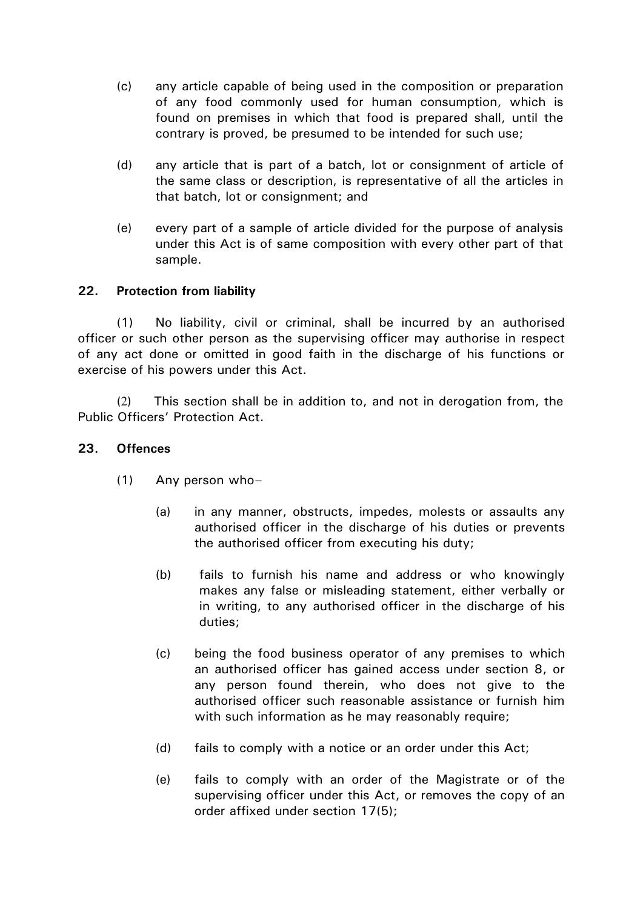- (c) any article capable of being used in the composition or preparation of any food commonly used for human consumption, which is found on premises in which that food is prepared shall, until the contrary is proved, be presumed to be intended for such use;
- (d) any article that is part of a batch, lot or consignment of article of the same class or description, is representative of all the articles in that batch, lot or consignment; and
- (e) every part of a sample of article divided for the purpose of analysis under this Act is of same composition with every other part of that sample.

#### **22. Protection from liability**

(1) No liability, civil or criminal, shall be incurred by an authorised officer or such other person as the supervising officer may authorise in respect of any act done or omitted in good faith in the discharge of his functions or exercise of his powers under this Act.

(2) This section shall be in addition to, and not in derogation from, the Public Officers' Protection Act.

#### **23. Offences**

- (1) Any person who–
	- (a) in any manner, obstructs, impedes, molests or assaults any authorised officer in the discharge of his duties or prevents the authorised officer from executing his duty;
	- (b) fails to furnish his name and address or who knowingly makes any false or misleading statement, either verbally or in writing, to any authorised officer in the discharge of his duties;
	- (c) being the food business operator of any premises to which an authorised officer has gained access under section 8, or any person found therein, who does not give to the authorised officer such reasonable assistance or furnish him with such information as he may reasonably require;
	- (d) fails to comply with a notice or an order under this Act;
	- (e) fails to comply with an order of the Magistrate or of the supervising officer under this Act, or removes the copy of an order affixed under section 17(5);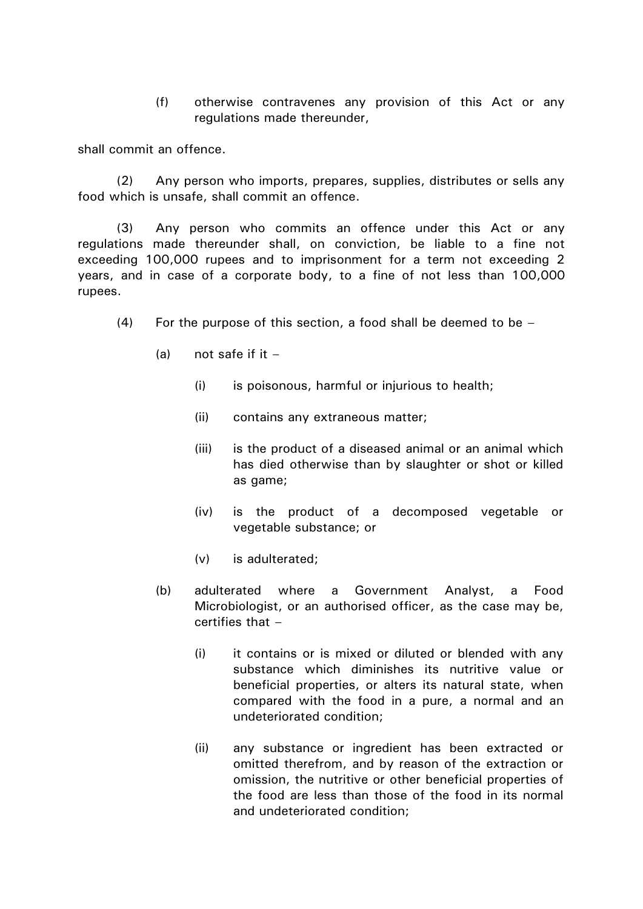(f) otherwise contravenes any provision of this Act or any regulations made thereunder,

shall commit an offence.

(2) Any person who imports, prepares, supplies, distributes or sells any food which is unsafe, shall commit an offence.

(3) Any person who commits an offence under this Act or any regulations made thereunder shall, on conviction, be liable to a fine not exceeding 100,000 rupees and to imprisonment for a term not exceeding 2 years, and in case of a corporate body, to a fine of not less than 100,000 rupees.

- (4) For the purpose of this section, a food shall be deemed to be  $-$ 
	- (a) not safe if it  $-$ 
		- (i) is poisonous, harmful or injurious to health;
		- (ii) contains any extraneous matter;
		- (iii) is the product of a diseased animal or an animal which has died otherwise than by slaughter or shot or killed as game;
		- (iv) is the product of a decomposed vegetable or vegetable substance; or
		- (v) is adulterated;
	- (b) adulterated where a Government Analyst, a Food Microbiologist, or an authorised officer, as the case may be, certifies that –
		- (i) it contains or is mixed or diluted or blended with any substance which diminishes its nutritive value or beneficial properties, or alters its natural state, when compared with the food in a pure, a normal and an undeteriorated condition;
		- (ii) any substance or ingredient has been extracted or omitted therefrom, and by reason of the extraction or omission, the nutritive or other beneficial properties of the food are less than those of the food in its normal and undeteriorated condition;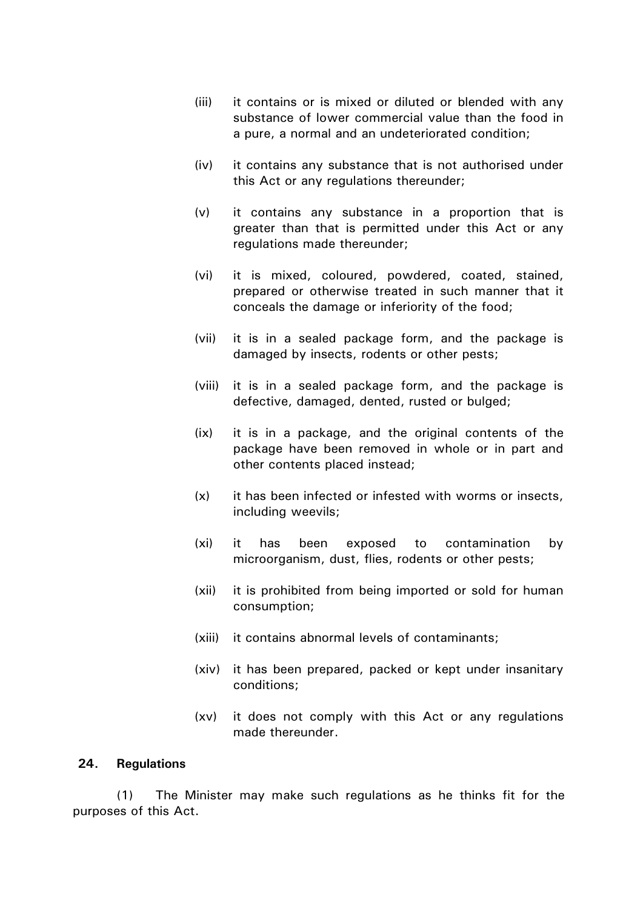- (iii) it contains or is mixed or diluted or blended with any substance of lower commercial value than the food in a pure, a normal and an undeteriorated condition;
- (iv) it contains any substance that is not authorised under this Act or any regulations thereunder;
- (v) it contains any substance in a proportion that is greater than that is permitted under this Act or any regulations made thereunder;
- (vi) it is mixed, coloured, powdered, coated, stained, prepared or otherwise treated in such manner that it conceals the damage or inferiority of the food;
- (vii) it is in a sealed package form, and the package is damaged by insects, rodents or other pests;
- (viii) it is in a sealed package form, and the package is defective, damaged, dented, rusted or bulged;
- (ix) it is in a package, and the original contents of the package have been removed in whole or in part and other contents placed instead;
- (x) it has been infected or infested with worms or insects, including weevils;
- (xi) it has been exposed to contamination by microorganism, dust, flies, rodents or other pests;
- (xii) it is prohibited from being imported or sold for human consumption;
- (xiii) it contains abnormal levels of contaminants;
- (xiv) it has been prepared, packed or kept under insanitary conditions;
- (xv) it does not comply with this Act or any regulations made thereunder.

#### **24. Regulations**

(1) The Minister may make such regulations as he thinks fit for the purposes of this Act.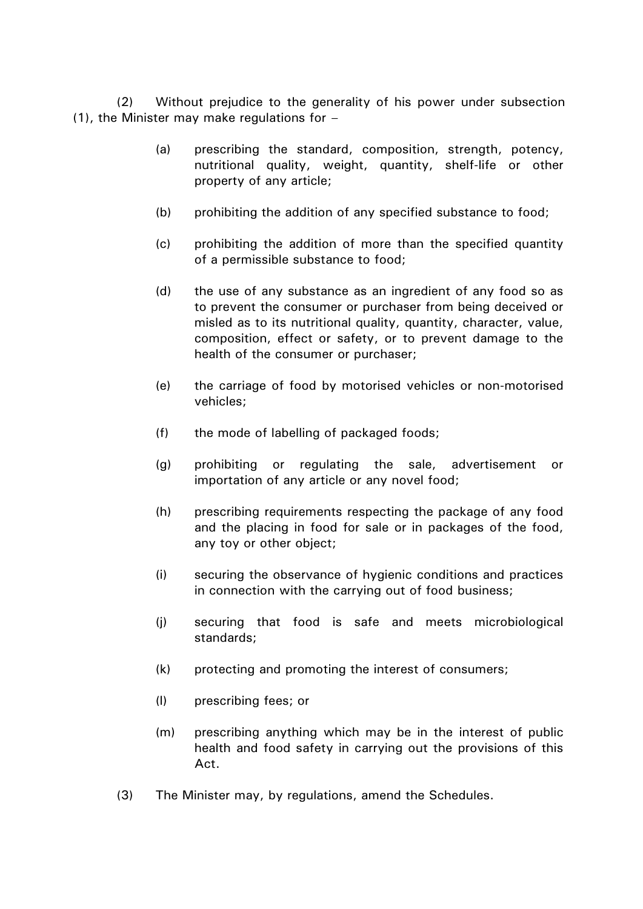(2) Without prejudice to the generality of his power under subsection (1), the Minister may make regulations for –

- (a) prescribing the standard, composition, strength, potency, nutritional quality, weight, quantity, shelf-life or other property of any article;
- (b) prohibiting the addition of any specified substance to food;
- (c) prohibiting the addition of more than the specified quantity of a permissible substance to food;
- (d) the use of any substance as an ingredient of any food so as to prevent the consumer or purchaser from being deceived or misled as to its nutritional quality, quantity, character, value, composition, effect or safety, or to prevent damage to the health of the consumer or purchaser;
- (e) the carriage of food by motorised vehicles or non-motorised vehicles;
- (f) the mode of labelling of packaged foods;
- (g) prohibiting or regulating the sale, advertisement or importation of any article or any novel food;
- (h) prescribing requirements respecting the package of any food and the placing in food for sale or in packages of the food, any toy or other object;
- (i) securing the observance of hygienic conditions and practices in connection with the carrying out of food business;
- (j) securing that food is safe and meets microbiological standards;
- (k) protecting and promoting the interest of consumers;
- (l) prescribing fees; or
- (m) prescribing anything which may be in the interest of public health and food safety in carrying out the provisions of this Act.
- (3) The Minister may, by regulations, amend the Schedules.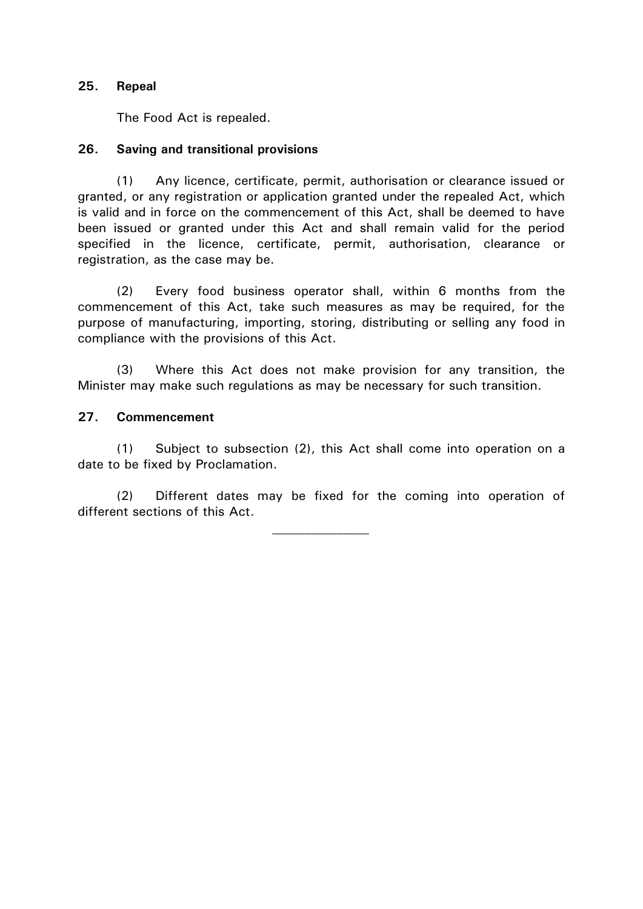#### **25. Repeal**

The Food Act is repealed.

#### **26. Saving and transitional provisions**

(1) Any licence, certificate, permit, authorisation or clearance issued or granted, or any registration or application granted under the repealed Act, which is valid and in force on the commencement of this Act, shall be deemed to have been issued or granted under this Act and shall remain valid for the period specified in the licence, certificate, permit, authorisation, clearance or registration, as the case may be.

(2) Every food business operator shall, within 6 months from the commencement of this Act, take such measures as may be required, for the purpose of manufacturing, importing, storing, distributing or selling any food in compliance with the provisions of this Act.

(3) Where this Act does not make provision for any transition, the Minister may make such regulations as may be necessary for such transition.

#### **27. Commencement**

(1) Subject to subsection (2), this Act shall come into operation on a date to be fixed by Proclamation.

(2) Different dates may be fixed for the coming into operation of different sections of this Act.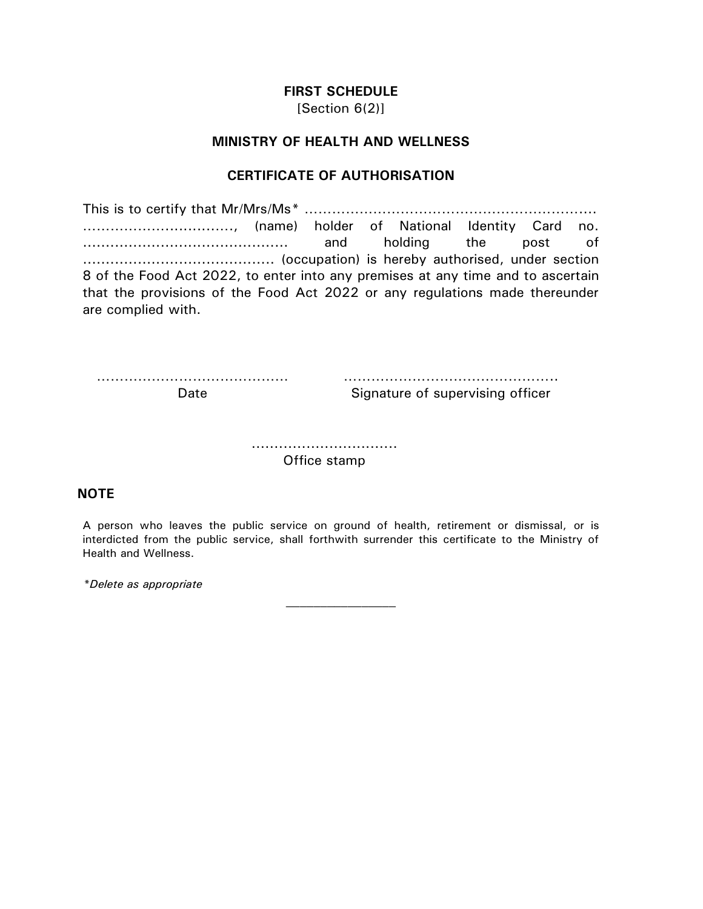## **FIRST SCHEDULE**

[Section 6(2)]

#### **MINISTRY OF HEALTH AND WELLNESS**

#### **CERTIFICATE OF AUTHORISATION**

This is to certify that Mr/Mrs/Ms\* …………………………………………………….... ………………...........…., (name) holder of National Identity Card no. ............................................. and holding the post of .......................................... (occupation) is hereby authorised, under section 8 of the Food Act 2022, to enter into any premises at any time and to ascertain that the provisions of the Food Act 2022 or any regulations made thereunder are complied with.

…………………………………… Date

……………………………………………… Signature of supervising officer

................................ Office stamp

#### **NOTE**

A person who leaves the public service on ground of health, retirement or dismissal, or is interdicted from the public service, shall forthwith surrender this certificate to the Ministry of Health and Wellness.

 $\mathcal{L}_\text{max}$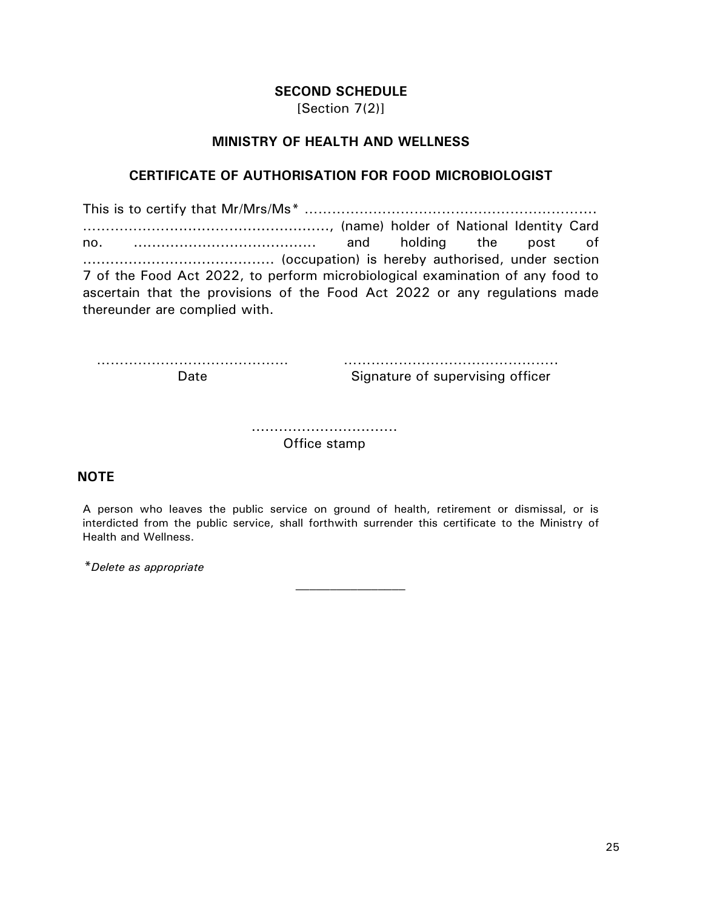#### **SECOND SCHEDULE** [Section 7(2)]

#### **MINISTRY OF HEALTH AND WELLNESS**

#### **CERTIFICATE OF AUTHORISATION FOR FOOD MICROBIOLOGIST**

This is to certify that Mr/Mrs/Ms\* …………………………………………………….... ………………...........…......................, (name) holder of National Identity Card no. ........................................ and holding the post of .......................................... (occupation) is hereby authorised, under section 7 of the Food Act 2022, to perform microbiological examination of any food to ascertain that the provisions of the Food Act 2022 or any regulations made thereunder are complied with.

…………………………………… Date

……………………………………….. Signature of supervising officer

................................ Office stamp

#### **NOTE**

A person who leaves the public service on ground of health, retirement or dismissal, or is interdicted from the public service, shall forthwith surrender this certificate to the Ministry of Health and Wellness.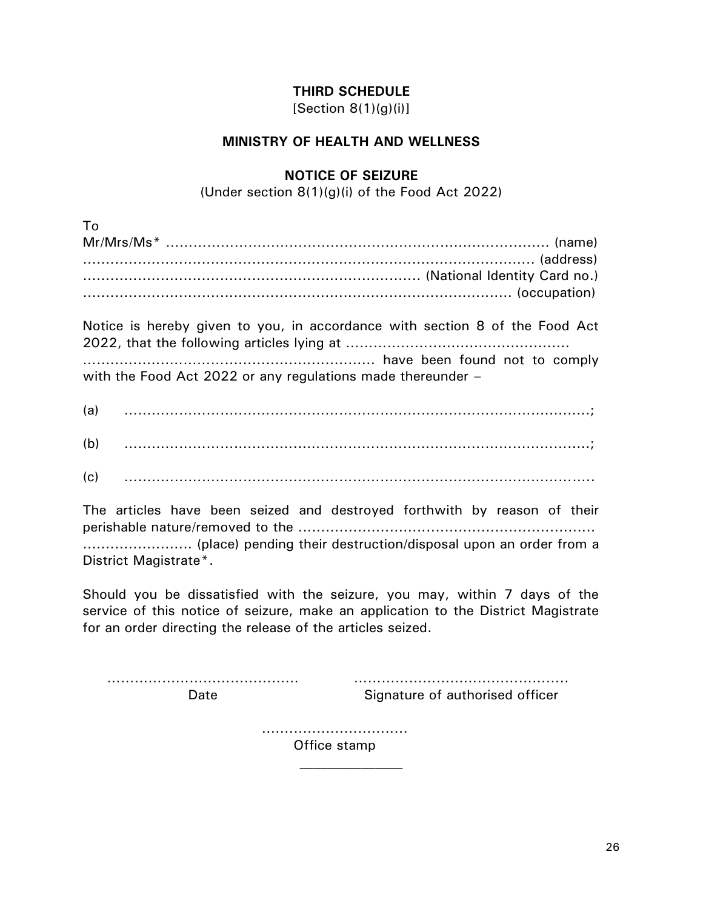## **THIRD SCHEDULE**

 $[Section 8(1)(q)(i)]$ 

#### **MINISTRY OF HEALTH AND WELLNESS**

#### **NOTICE OF SEIZURE**

(Under section 8(1)(g)(i) of the Food Act 2022)

| - 10 |  |
|------|--|
|      |  |
|      |  |
|      |  |
|      |  |
|      |  |

Notice is hereby given to you, in accordance with section 8 of the Food Act 2022, that the following articles lying at ………………............................... …................…………................................. have been found not to comply with the Food Act 2022 or any regulations made thereunder –

- (a) …………………..………………………………………………………….............;
- (b) …………………….…………...………………………………………………….....;
- (c) …..……………………………………………………………………………………..

The articles have been seized and destroyed forthwith by reason of their perishable nature/removed to the ................................................................. ........................ (place) pending their destruction/disposal upon an order from a District Magistrate\*.

Should you be dissatisfied with the seizure, you may, within 7 days of the service of this notice of seizure, make an application to the District Magistrate for an order directing the release of the articles seized.

…………………………………… Date

 $\mathbf{\tau}_{\mathbf{A}}$ 

……………………………………….. Signature of authorised officer

................................ Office stamp  $\mathcal{L}_\text{max}$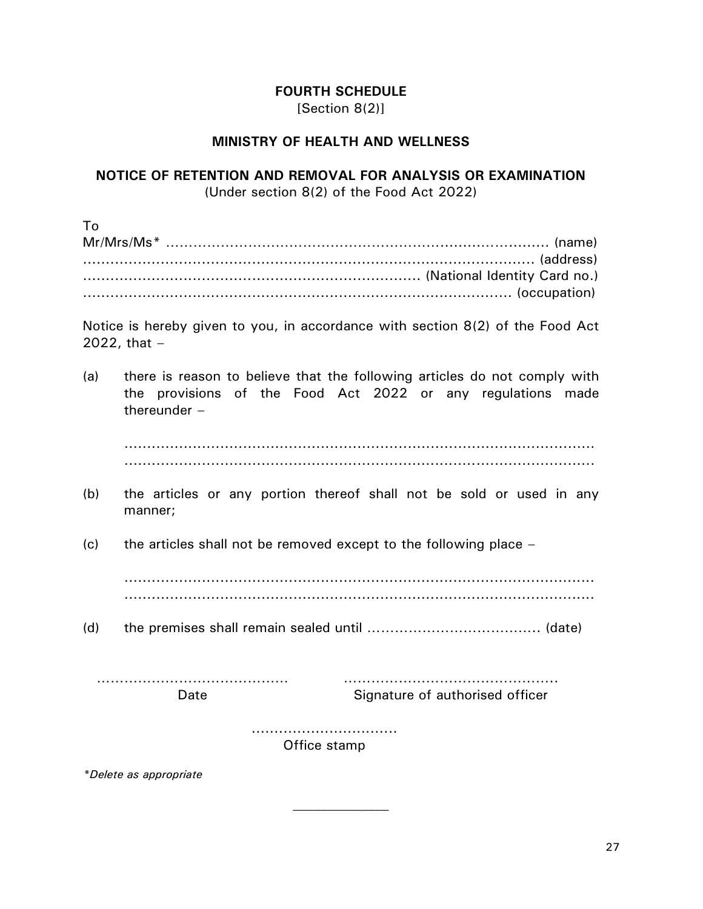#### **FOURTH SCHEDULE** [Section 8(2)]

#### **MINISTRY OF HEALTH AND WELLNESS**

#### **NOTICE OF RETENTION AND REMOVAL FOR ANALYSIS OR EXAMINATION** (Under section 8(2) of the Food Act 2022)

| To                                                                                               |                                                                           |  |
|--------------------------------------------------------------------------------------------------|---------------------------------------------------------------------------|--|
|                                                                                                  |                                                                           |  |
|                                                                                                  |                                                                           |  |
|                                                                                                  |                                                                           |  |
|                                                                                                  |                                                                           |  |
| Notice is hereby given to you, in accordance with section 8(2) of the Food Act<br>2022, that $-$ |                                                                           |  |
| (a)                                                                                              | there is reason to believe that the following articles do not comply with |  |
|                                                                                                  | the provisions of the Food Act 2022 or any regulations made               |  |
|                                                                                                  | thereunder $-$                                                            |  |
|                                                                                                  |                                                                           |  |
|                                                                                                  |                                                                           |  |
|                                                                                                  |                                                                           |  |
| (b)                                                                                              | the articles or any portion thereof shall not be sold or used in any      |  |
|                                                                                                  | manner;                                                                   |  |

(c) the articles shall not be removed except to the following place  $-$ 

....................................................................................................... .......................................................................................................

(d) the premises shall remain sealed until ……………………………….. (date)

…………………………………… Date

……………………………………….. Signature of authorised officer

................................ Office stamp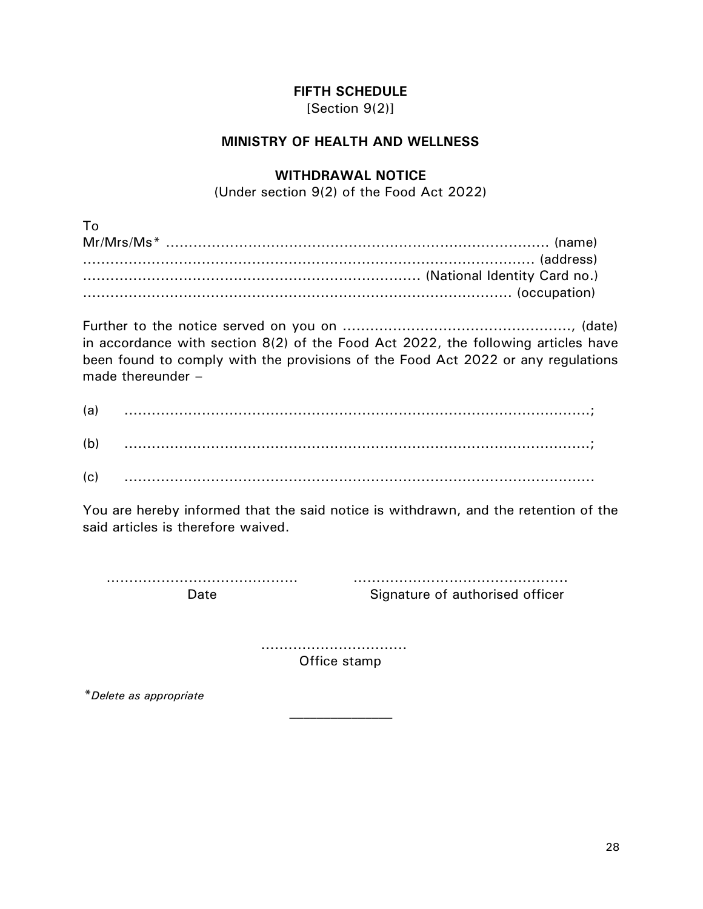## **FIFTH SCHEDULE**

[Section 9(2)]

#### **MINISTRY OF HEALTH AND WELLNESS**

#### **WITHDRAWAL NOTICE**

(Under section 9(2) of the Food Act 2022)

| To |  |
|----|--|
|    |  |
|    |  |
|    |  |
|    |  |

Further to the notice served on you on .................................................., (date) in accordance with section 8(2) of the Food Act 2022, the following articles have been found to comply with the provisions of the Food Act 2022 or any regulations made thereunder –

| (a) |  |
|-----|--|
| (b) |  |
| .   |  |

(c) .......................................................................................................

You are hereby informed that the said notice is withdrawn, and the retention of the said articles is therefore waived.

…………………………………… Date

……………………………………….. Signature of authorised officer

................................ Office stamp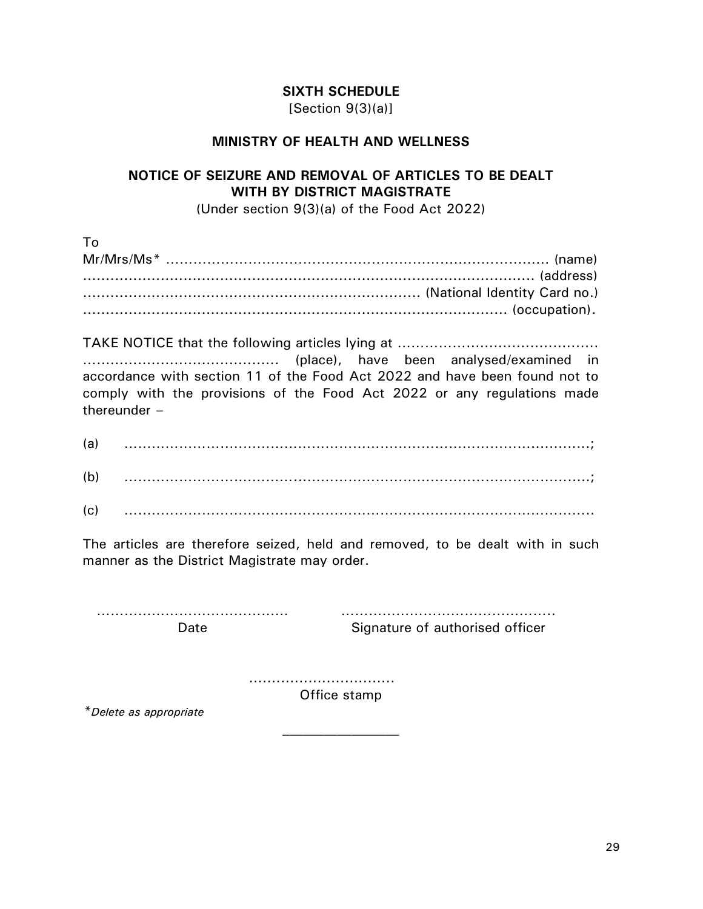## **SIXTH SCHEDULE**

 $[Section 9(3)(a)]$ 

#### **MINISTRY OF HEALTH AND WELLNESS**

#### **NOTICE OF SEIZURE AND REMOVAL OF ARTICLES TO BE DEALT WITH BY DISTRICT MAGISTRATE**

(Under section 9(3)(a) of the Food Act 2022)

| To |  |
|----|--|
|    |  |
|    |  |
|    |  |
|    |  |

TAKE NOTICE that the following articles lying at ……………............................. …........................................ (place), have been analysed/examined in accordance with section 11 of the Food Act 2022 and have been found not to comply with the provisions of the Food Act 2022 or any regulations made thereunder –

- (a) …………………..………………………………………………………….............;
- (b) …………………….…………...………………………………………………….....;
- (c) …..……………………………………………………………………………………..

The articles are therefore seized, held and removed, to be dealt with in such manner as the District Magistrate may order.

…………………………………… Date

………………………………………………… Signature of authorised officer

................................ Office stamp

 $\mathcal{L}_\text{max}$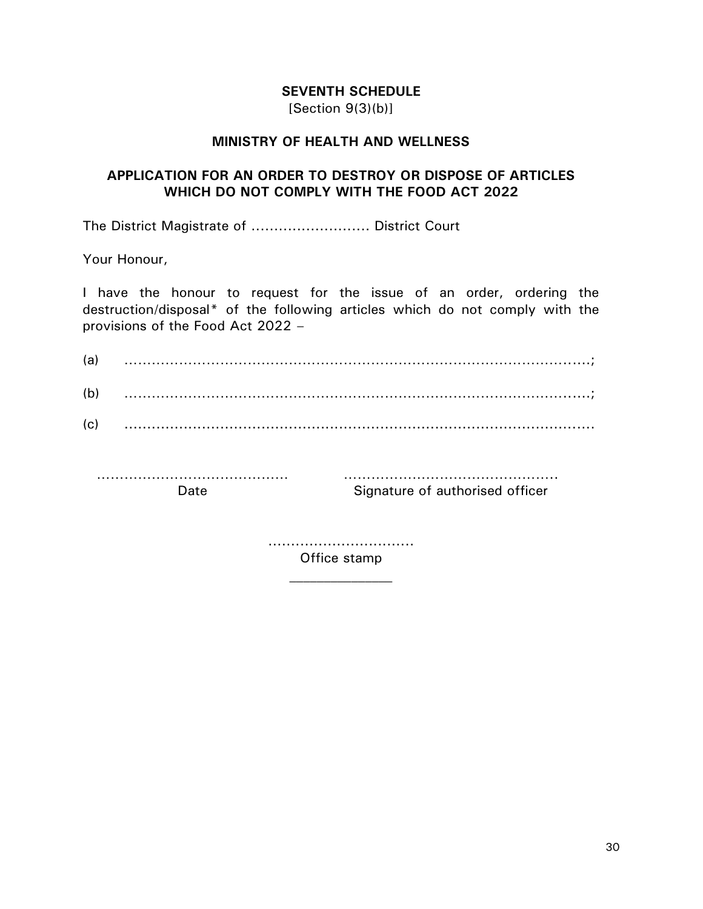#### **SEVENTH SCHEDULE**  $[Section 9(3)(b)]$

#### **MINISTRY OF HEALTH AND WELLNESS**

#### **APPLICATION FOR AN ORDER TO DESTROY OR DISPOSE OF ARTICLES WHICH DO NOT COMPLY WITH THE FOOD ACT 2022**

The District Magistrate of .......................... District Court

Your Honour,

I have the honour to request for the issue of an order, ordering the destruction/disposal\* of the following articles which do not comply with the provisions of the Food Act 2022 –

| (a) |  |
|-----|--|
| (b) |  |
| (c) |  |

…………………………………… Date

……………………………………….. Signature of authorised officer

................................

Office stamp  $\mathcal{L}_\text{max}$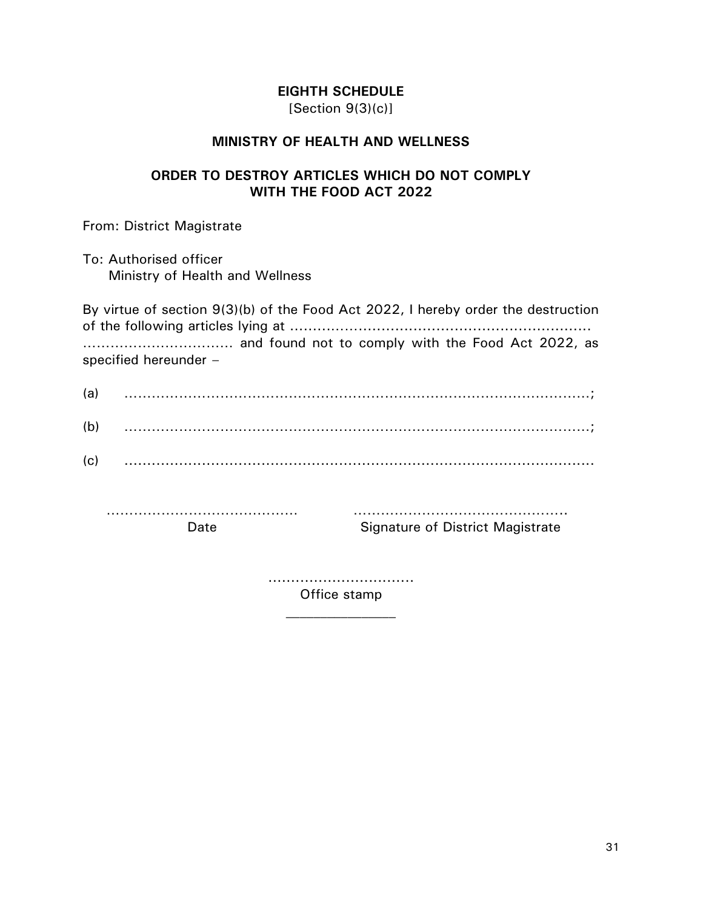# **EIGHTH SCHEDULE**

[Section 9(3)(c)]

#### **MINISTRY OF HEALTH AND WELLNESS**

#### **ORDER TO DESTROY ARTICLES WHICH DO NOT COMPLY WITH THE FOOD ACT 2022**

From: District Magistrate

To: Authorised officer Ministry of Health and Wellness

By virtue of section 9(3)(b) of the Food Act 2022, I hereby order the destruction of the following articles lying at .........……................................................... …………………………… and found not to comply with the Food Act 2022, as specified hereunder –

| (a) |  |
|-----|--|
| (b) |  |
| (c) |  |

…………………………………… Date

……………………………………….. Signature of District Magistrate

................................ Office stamp

 $\mathcal{L}_\text{max}$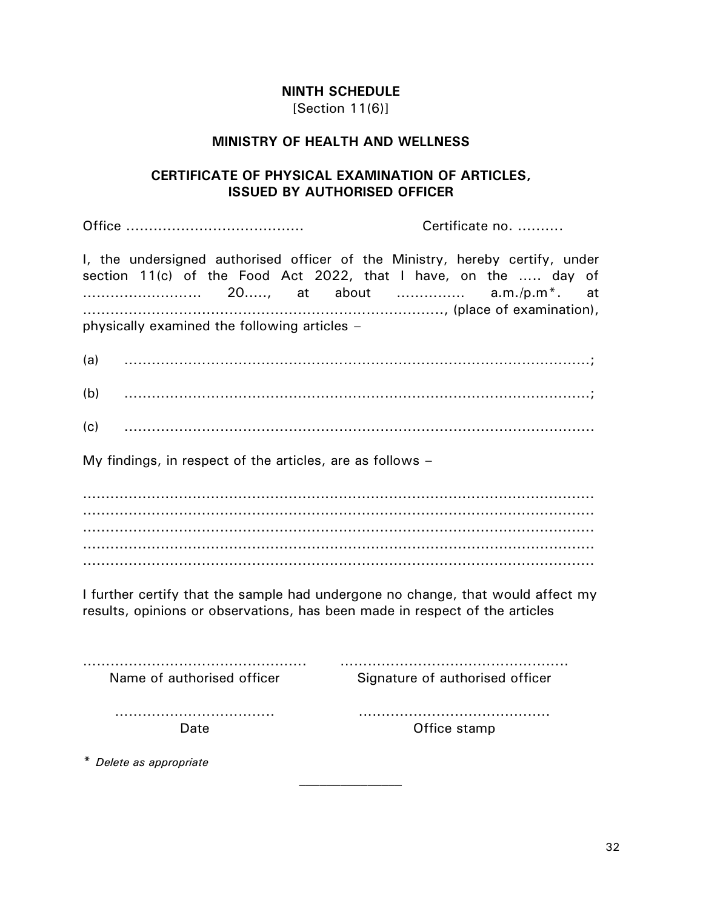#### **NINTH SCHEDULE** [Section 11(6)]

#### **MINISTRY OF HEALTH AND WELLNESS**

## **CERTIFICATE OF PHYSICAL EXAMINATION OF ARTICLES, ISSUED BY AUTHORISED OFFICER**

|                                                                                                                                | Certificate no.                                                                                                                                 |  |  |
|--------------------------------------------------------------------------------------------------------------------------------|-------------------------------------------------------------------------------------------------------------------------------------------------|--|--|
|                                                                                                                                | I, the undersigned authorised officer of the Ministry, hereby certify, under<br>section 11(c) of the Food Act 2022, that I have, on the  day of |  |  |
| physically examined the following articles -                                                                                   |                                                                                                                                                 |  |  |
| (a)                                                                                                                            |                                                                                                                                                 |  |  |
| (b)                                                                                                                            |                                                                                                                                                 |  |  |
| (c)                                                                                                                            |                                                                                                                                                 |  |  |
| My findings, in respect of the articles, are as follows $-$                                                                    |                                                                                                                                                 |  |  |
|                                                                                                                                |                                                                                                                                                 |  |  |
|                                                                                                                                |                                                                                                                                                 |  |  |
|                                                                                                                                |                                                                                                                                                 |  |  |
| results, opinions or observations, has been made in respect of the articles                                                    | I further certify that the sample had undergone no change, that would affect my                                                                 |  |  |
| $\mathbf{r}$ and $\mathbf{r}$ are the second function of $\mathbf{r}$ and $\mathbf{r}$ are the second function of $\mathbf{r}$ |                                                                                                                                                 |  |  |

Name of authorised officer

Signature of authorised officer

…………………………….. Date

.......................................... Office stamp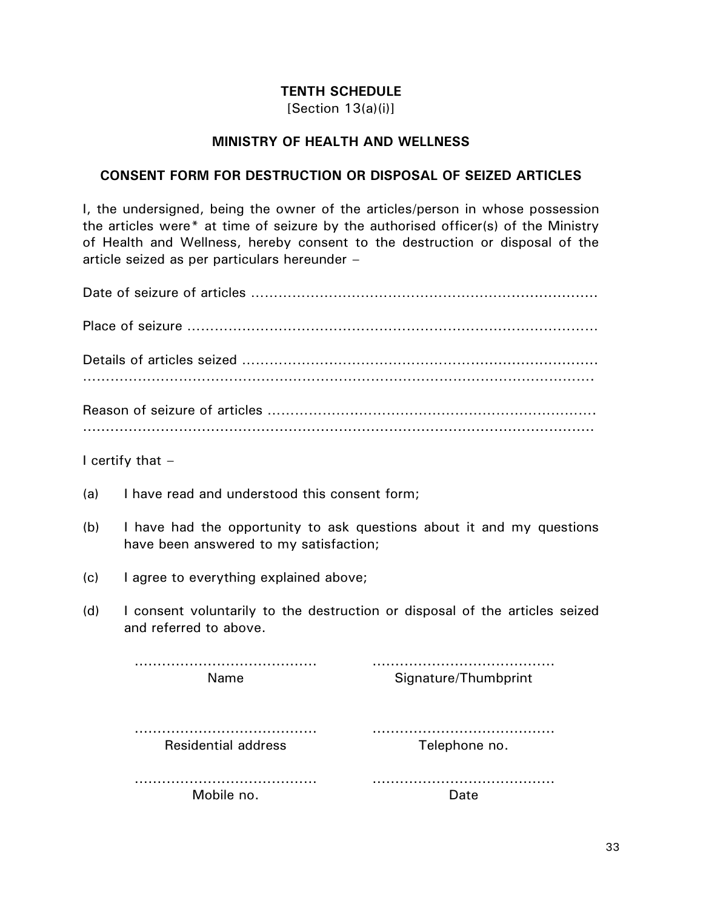## **TENTH SCHEDULE**

 $[Section 13(a)(i)]$ 

#### **MINISTRY OF HEALTH AND WELLNESS**

#### **CONSENT FORM FOR DESTRUCTION OR DISPOSAL OF SEIZED ARTICLES**

I, the undersigned, being the owner of the articles/person in whose possession the articles were\* at time of seizure by the authorised officer(s) of the Ministry of Health and Wellness, hereby consent to the destruction or disposal of the article seized as per particulars hereunder –

|     | I certify that $-$                                                                                              |                      |
|-----|-----------------------------------------------------------------------------------------------------------------|----------------------|
| (a) | I have read and understood this consent form;                                                                   |                      |
| (b) | I have had the opportunity to ask questions about it and my questions<br>have been answered to my satisfaction; |                      |
| (c) | I agree to everything explained above;                                                                          |                      |
| (d) | I consent voluntarily to the destruction or disposal of the articles seized<br>and referred to above.           |                      |
|     | Name                                                                                                            | Signature/Thumbprint |
|     | <b>Residential address</b>                                                                                      | .<br>Telephone no.   |
|     | Mobile no.                                                                                                      | Date                 |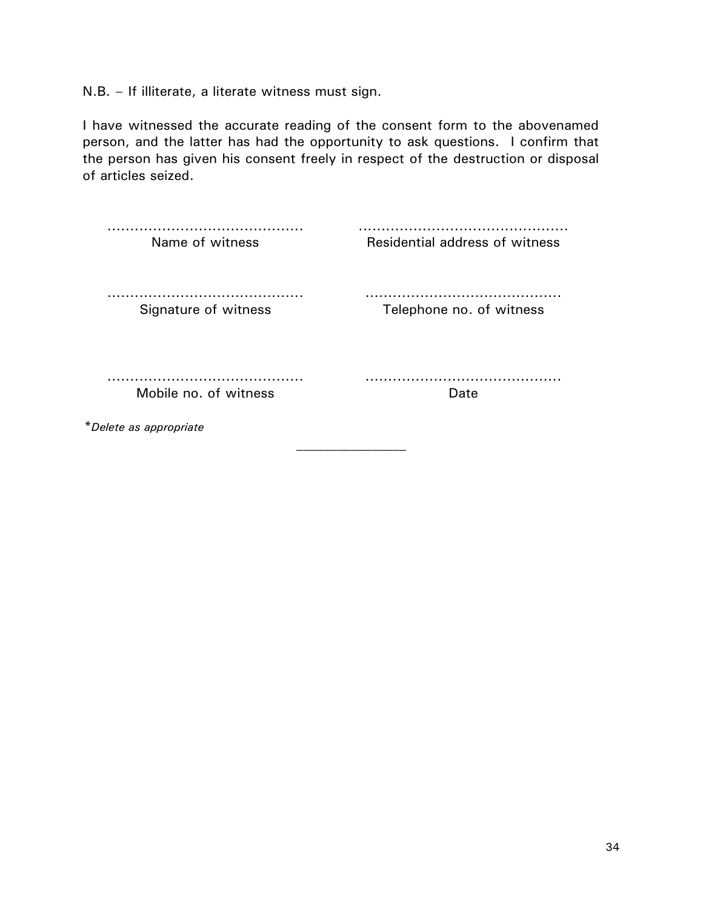N.B. – If illiterate, a literate witness must sign.

I have witnessed the accurate reading of the consent form to the abovenamed person, and the latter has had the opportunity to ask questions. I confirm that the person has given his consent freely in respect of the destruction or disposal of articles seized.

| Name of witness                                 | Residential address of witness |
|-------------------------------------------------|--------------------------------|
| Signature of witness                            | Telephone no. of witness       |
| Mobile no. of witness<br>*Delete as appropriate | Date                           |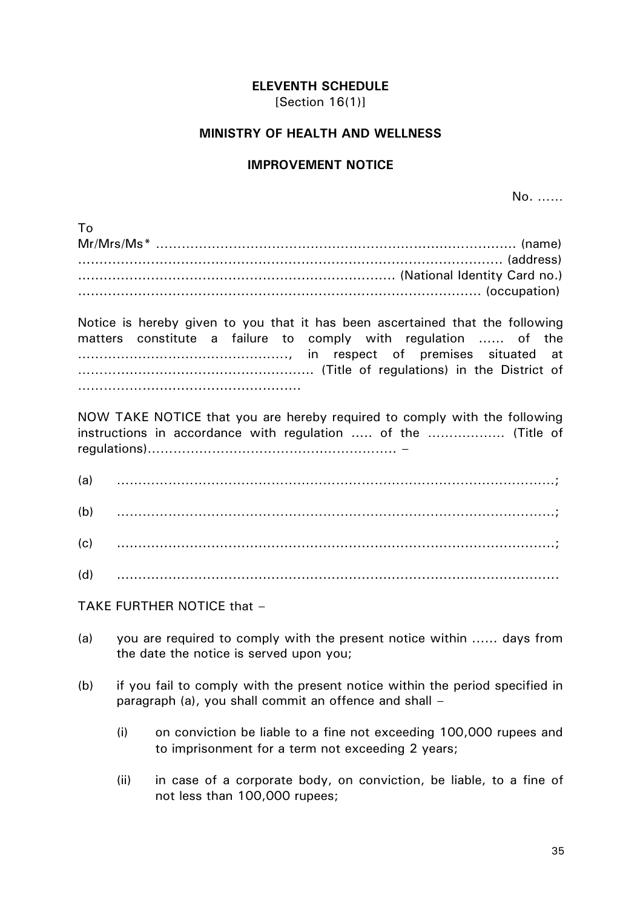# **ELEVENTH SCHEDULE**

[Section 16(1)]

#### **MINISTRY OF HEALTH AND WELLNESS**

#### **IMPROVEMENT NOTICE**

No. ……

| To |  |
|----|--|
|    |  |
|    |  |
|    |  |
|    |  |

Notice is hereby given to you that it has been ascertained that the following matters constitute a failure to comply with regulation ...... of the …………………………………………., in respect of premises situated at ……….............................................. (Title of regulations) in the District of …………….....................................

NOW TAKE NOTICE that you are hereby required to comply with the following instructions in accordance with regulation ..... of the ……………… (Title of regulations)…………………………………..…………….. –

(a) …………………………………………………………………………………………; (b) …………………………………………………………………………………………; (c) ......................................................................................................;

(d) .......................................................................................................

TAKE FURTHER NOTICE that –

- (a) you are required to comply with the present notice within ...... days from the date the notice is served upon you;
- (b) if you fail to comply with the present notice within the period specified in paragraph (a), you shall commit an offence and shall –
	- (i) on conviction be liable to a fine not exceeding 100,000 rupees and to imprisonment for a term not exceeding 2 years;
	- (ii) in case of a corporate body, on conviction, be liable, to a fine of not less than 100,000 rupees;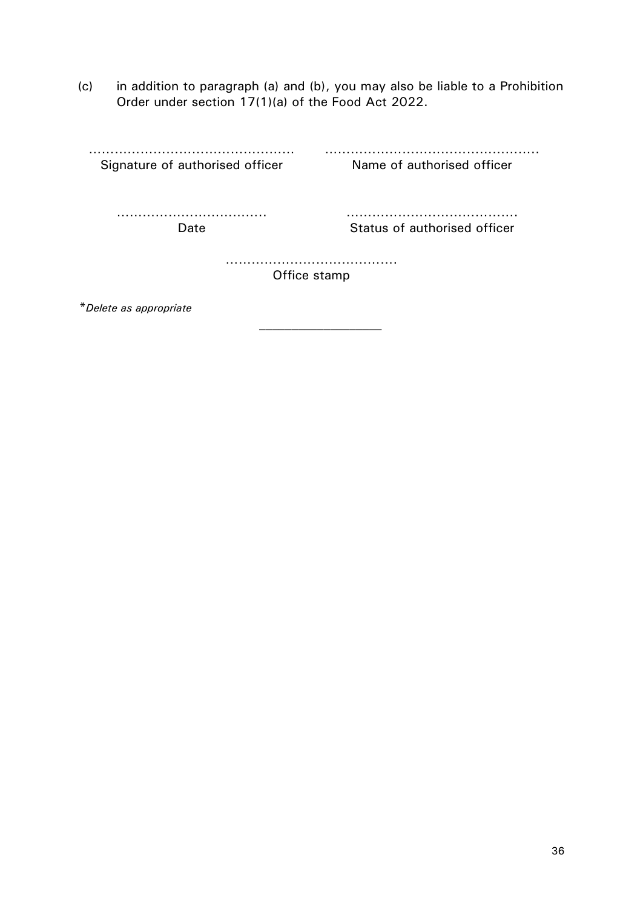(c) in addition to paragraph (a) and (b), you may also be liable to a Prohibition Order under section 17(1)(a) of the Food Act 2022.

………………………………………… ………………………………………….. Signature of authorised officer

Name of authorised officer

…………………………….. Date

…………………………………. Status of authorised officer

…………………………………. Office stamp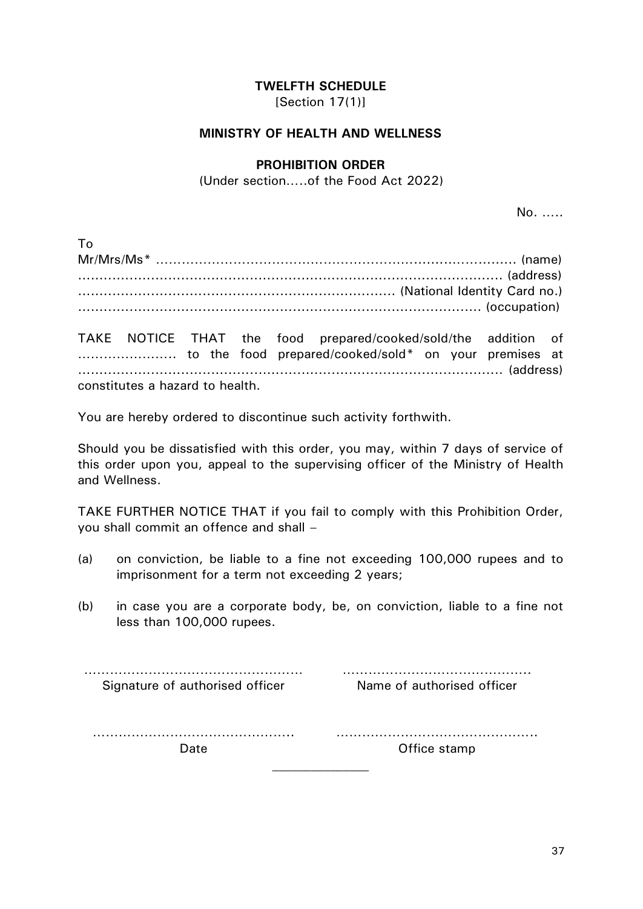#### **TWELFTH SCHEDULE**

[Section 17(1)]

#### **MINISTRY OF HEALTH AND WELLNESS**

#### **PROHIBITION ORDER**

(Under section…..of the Food Act 2022)

No. …..

| To |  |
|----|--|
|    |  |
|    |  |
|    |  |
|    |  |

TAKE NOTICE THAT the food prepared/cooked/sold/the addition of ………………….. to the food prepared/cooked/sold\* on your premises at ................................................................................................... (address) constitutes a hazard to health.

You are hereby ordered to discontinue such activity forthwith.

Should you be dissatisfied with this order, you may, within 7 days of service of this order upon you, appeal to the supervising officer of the Ministry of Health and Wellness.

TAKE FURTHER NOTICE THAT if you fail to comply with this Prohibition Order, you shall commit an offence and shall –

- (a) on conviction, be liable to a fine not exceeding 100,000 rupees and to imprisonment for a term not exceeding 2 years;
- (b) in case you are a corporate body, be, on conviction, liable to a fine not less than 100,000 rupees.

| Signature of authorised officer | Name of authorised officer |
|---------------------------------|----------------------------|
| Date                            | Office stamp               |